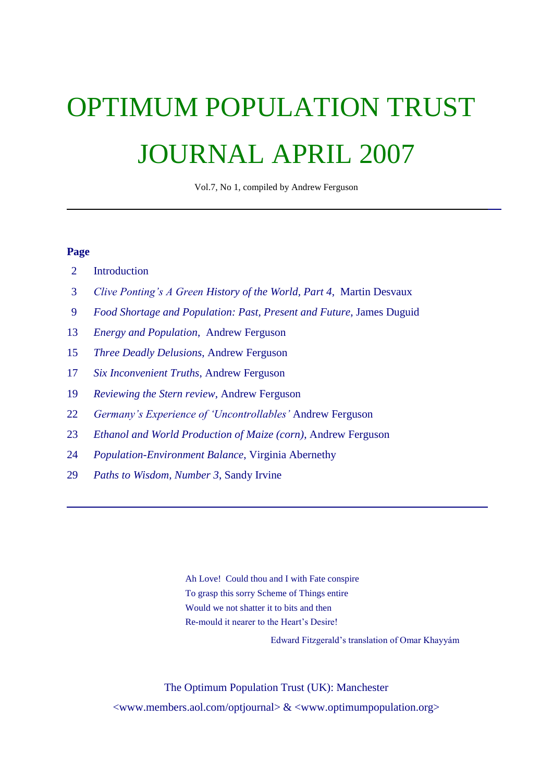# OPTIMUM POPULATION TRUST JOURNAL APRIL 2007

Vol.7, No 1, compiled by Andrew Ferguson

# **Page**

- 2 Introduction
- 3 *Clive Ponting"s A Green History of the World, Part 4*, Martin Desvaux
- 9 *Food Shortage and Population: Past, Present and Future*, James Duguid
- 13 *Energy and Population*, Andrew Ferguson
- 15 *Three Deadly Delusions*, Andrew Ferguson
- 17 *Six Inconvenient Truths*, Andrew Ferguson
- 19 *Reviewing the Stern review*, Andrew Ferguson
- 22 *Germany"s Experience of "Uncontrollables"* Andrew Ferguson
- 23 *Ethanol and World Production of Maize (corn)*, Andrew Ferguson
- 24 *Population-Environment Balance*, Virginia Abernethy
- 29 *Paths to Wisdom, Number 3*, Sandy Irvine

Ah Love! Could thou and I with Fate conspire To grasp this sorry Scheme of Things entire Would we not shatter it to bits and then Re-mould it nearer to the Heart's Desire!

Edward Fitzgerald's translation of Omar Khayyám

The Optimum Population Trust (UK): Manchester  $\langle$ www.members.aol.com/optjournal> &  $\langle$ www.optimumpopulation.org>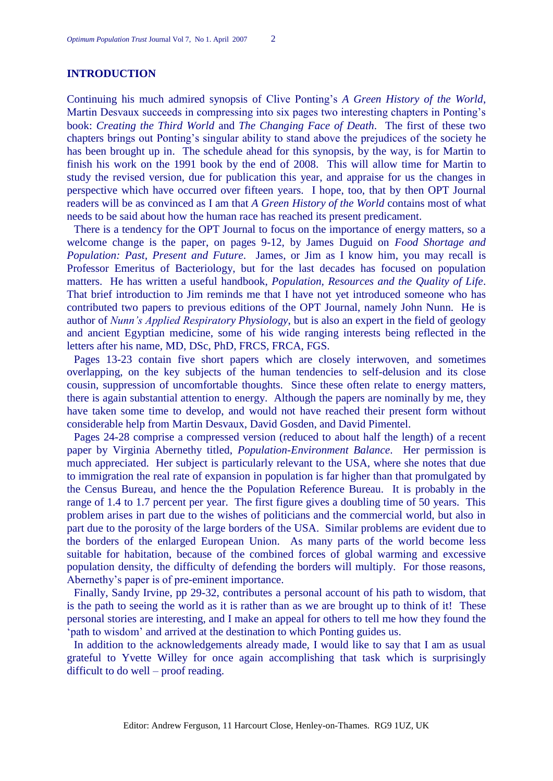# **INTRODUCTION**

Continuing his much admired synopsis of Clive Ponting's *A Green History of the World*, Martin Desvaux succeeds in compressing into six pages two interesting chapters in Ponting's book: *Creating the Third World* and *The Changing Face of Death*. The first of these two chapters brings out Ponting's singular ability to stand above the prejudices of the society he has been brought up in. The schedule ahead for this synopsis, by the way, is for Martin to finish his work on the 1991 book by the end of 2008. This will allow time for Martin to study the revised version, due for publication this year, and appraise for us the changes in perspective which have occurred over fifteen years. I hope, too, that by then OPT Journal readers will be as convinced as I am that *A Green History of the World* contains most of what needs to be said about how the human race has reached its present predicament.

There is a tendency for the OPT Journal to focus on the importance of energy matters, so a welcome change is the paper, on pages 9-12, by James Duguid on *Food Shortage and Population: Past, Present and Future*. James, or Jim as I know him, you may recall is Professor Emeritus of Bacteriology, but for the last decades has focused on population matters. He has written a useful handbook, *Population, Resources and the Quality of Life*. That brief introduction to Jim reminds me that I have not yet introduced someone who has contributed two papers to previous editions of the OPT Journal, namely John Nunn. He is author of *Nunn"s Applied Respiratory Physiology*, but is also an expert in the field of geology and ancient Egyptian medicine, some of his wide ranging interests being reflected in the letters after his name, MD, DSc, PhD, FRCS, FRCA, FGS.

Pages 13-23 contain five short papers which are closely interwoven, and sometimes overlapping, on the key subjects of the human tendencies to self-delusion and its close cousin, suppression of uncomfortable thoughts. Since these often relate to energy matters, there is again substantial attention to energy. Although the papers are nominally by me, they have taken some time to develop, and would not have reached their present form without considerable help from Martin Desvaux, David Gosden, and David Pimentel.

Pages 24-28 comprise a compressed version (reduced to about half the length) of a recent paper by Virginia Abernethy titled, *Population-Environment Balance*. Her permission is much appreciated. Her subject is particularly relevant to the USA, where she notes that due to immigration the real rate of expansion in population is far higher than that promulgated by the Census Bureau, and hence the the Population Reference Bureau. It is probably in the range of 1.4 to 1.7 percent per year. The first figure gives a doubling time of 50 years. This problem arises in part due to the wishes of politicians and the commercial world, but also in part due to the porosity of the large borders of the USA. Similar problems are evident due to the borders of the enlarged European Union. As many parts of the world become less suitable for habitation, because of the combined forces of global warming and excessive population density, the difficulty of defending the borders will multiply. For those reasons, Abernethy's paper is of pre-eminent importance.

Finally, Sandy Irvine, pp 29-32, contributes a personal account of his path to wisdom, that is the path to seeing the world as it is rather than as we are brought up to think of it! These personal stories are interesting, and I make an appeal for others to tell me how they found the ‗path to wisdom' and arrived at the destination to which Ponting guides us.

In addition to the acknowledgements already made, I would like to say that I am as usual grateful to Yvette Willey for once again accomplishing that task which is surprisingly difficult to do well – proof reading.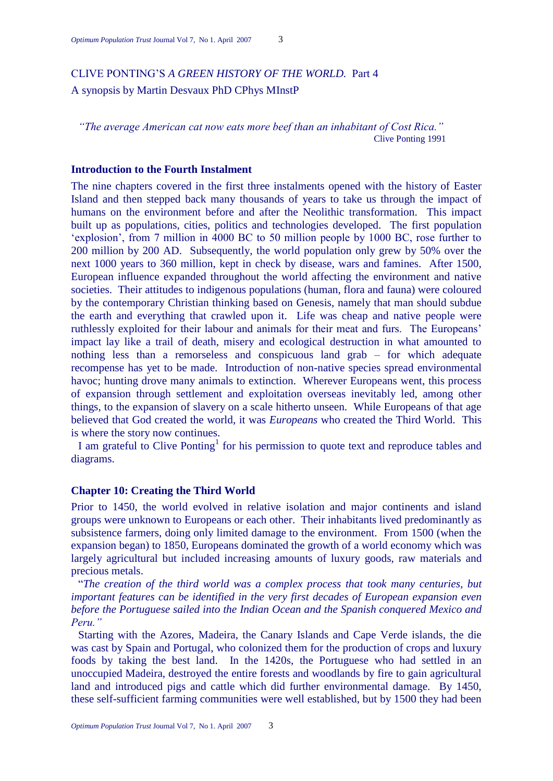# CLIVE PONTING'S *A GREEN HISTORY OF THE WORLD.* Part 4 A synopsis by Martin Desvaux PhD CPhys MInstP

*"The average American cat now eats more beef than an inhabitant of Cost Rica."* Clive Ponting 1991

# **Introduction to the Fourth Instalment**

The nine chapters covered in the first three instalments opened with the history of Easter Island and then stepped back many thousands of years to take us through the impact of humans on the environment before and after the Neolithic transformation. This impact built up as populations, cities, politics and technologies developed. The first population ‗explosion', from 7 million in 4000 BC to 50 million people by 1000 BC, rose further to 200 million by 200 AD. Subsequently, the world population only grew by 50% over the next 1000 years to 360 million, kept in check by disease, wars and famines. After 1500, European influence expanded throughout the world affecting the environment and native societies. Their attitudes to indigenous populations (human, flora and fauna) were coloured by the contemporary Christian thinking based on Genesis, namely that man should subdue the earth and everything that crawled upon it. Life was cheap and native people were ruthlessly exploited for their labour and animals for their meat and furs. The Europeans' impact lay like a trail of death, misery and ecological destruction in what amounted to nothing less than a remorseless and conspicuous land grab – for which adequate recompense has yet to be made. Introduction of non-native species spread environmental havoc; hunting drove many animals to extinction. Wherever Europeans went, this process of expansion through settlement and exploitation overseas inevitably led, among other things, to the expansion of slavery on a scale hitherto unseen. While Europeans of that age believed that God created the world, it was *Europeans* who created the Third World. This is where the story now continues.

I am grateful to Clive Ponting<sup>1</sup> for his permission to quote text and reproduce tables and diagrams.

# **Chapter 10: Creating the Third World**

Prior to 1450, the world evolved in relative isolation and major continents and island groups were unknown to Europeans or each other. Their inhabitants lived predominantly as subsistence farmers, doing only limited damage to the environment. From 1500 (when the expansion began) to 1850, Europeans dominated the growth of a world economy which was largely agricultural but included increasing amounts of luxury goods, raw materials and precious metals.

―*The creation of the third world was a complex process that took many centuries, but important features can be identified in the very first decades of European expansion even before the Portuguese sailed into the Indian Ocean and the Spanish conquered Mexico and Peru."*

Starting with the Azores, Madeira, the Canary Islands and Cape Verde islands, the die was cast by Spain and Portugal, who colonized them for the production of crops and luxury foods by taking the best land. In the 1420s, the Portuguese who had settled in an unoccupied Madeira, destroyed the entire forests and woodlands by fire to gain agricultural land and introduced pigs and cattle which did further environmental damage. By 1450, these self-sufficient farming communities were well established, but by 1500 they had been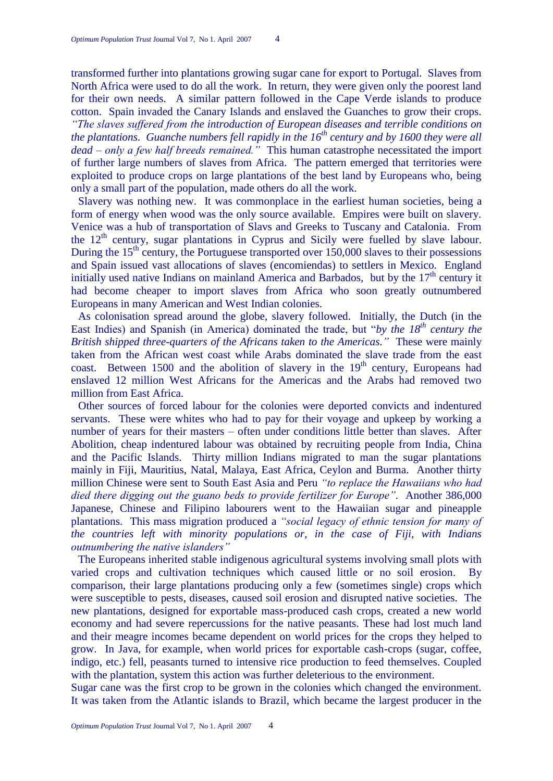transformed further into plantations growing sugar cane for export to Portugal. Slaves from North Africa were used to do all the work. In return, they were given only the poorest land for their own needs. A similar pattern followed in the Cape Verde islands to produce cotton. Spain invaded the Canary Islands and enslaved the Guanches to grow their crops. *"The slaves suffered from the introduction of European diseases and terrible conditions on the plantations. Guanche numbers fell rapidly in the 16th century and by 1600 they were all dead – only a few half breeds remained."* This human catastrophe necessitated the import of further large numbers of slaves from Africa. The pattern emerged that territories were exploited to produce crops on large plantations of the best land by Europeans who, being only a small part of the population, made others do all the work.

Slavery was nothing new. It was commonplace in the earliest human societies, being a form of energy when wood was the only source available. Empires were built on slavery. Venice was a hub of transportation of Slavs and Greeks to Tuscany and Catalonia. From the 12<sup>th</sup> century, sugar plantations in Cyprus and Sicily were fuelled by slave labour. During the  $15<sup>th</sup>$  century, the Portuguese transported over  $150,000$  slaves to their possessions and Spain issued vast allocations of slaves (encomiendas) to settlers in Mexico. England initially used native Indians on mainland America and Barbados, but by the  $17<sup>th</sup>$  century it had become cheaper to import slaves from Africa who soon greatly outnumbered Europeans in many American and West Indian colonies.

As colonisation spread around the globe, slavery followed. Initially, the Dutch (in the East Indies) and Spanish (in America) dominated the trade, but "by the 18<sup>th</sup> century the *British shipped three-quarters of the Africans taken to the Americas."* These were mainly taken from the African west coast while Arabs dominated the slave trade from the east coast. Between  $1500$  and the abolition of slavery in the  $19<sup>th</sup>$  century, Europeans had enslaved 12 million West Africans for the Americas and the Arabs had removed two million from East Africa.

Other sources of forced labour for the colonies were deported convicts and indentured servants. These were whites who had to pay for their voyage and upkeep by working a number of years for their masters – often under conditions little better than slaves. After Abolition, cheap indentured labour was obtained by recruiting people from India, China and the Pacific Islands. Thirty million Indians migrated to man the sugar plantations mainly in Fiji, Mauritius, Natal, Malaya, East Africa, Ceylon and Burma. Another thirty million Chinese were sent to South East Asia and Peru *"to replace the Hawaiians who had died there digging out the guano beds to provide fertilizer for Europe".* Another 386,000 Japanese, Chinese and Filipino labourers went to the Hawaiian sugar and pineapple plantations. This mass migration produced a *"social legacy of ethnic tension for many of the countries left with minority populations or, in the case of Fiji, with Indians outnumbering the native islanders"*

The Europeans inherited stable indigenous agricultural systems involving small plots with varied crops and cultivation techniques which caused little or no soil erosion. By comparison, their large plantations producing only a few (sometimes single) crops which were susceptible to pests, diseases, caused soil erosion and disrupted native societies. The new plantations, designed for exportable mass-produced cash crops, created a new world economy and had severe repercussions for the native peasants. These had lost much land and their meagre incomes became dependent on world prices for the crops they helped to grow. In Java, for example, when world prices for exportable cash-crops (sugar, coffee, indigo, etc.) fell, peasants turned to intensive rice production to feed themselves. Coupled with the plantation, system this action was further deleterious to the environment.

Sugar cane was the first crop to be grown in the colonies which changed the environment. It was taken from the Atlantic islands to Brazil, which became the largest producer in the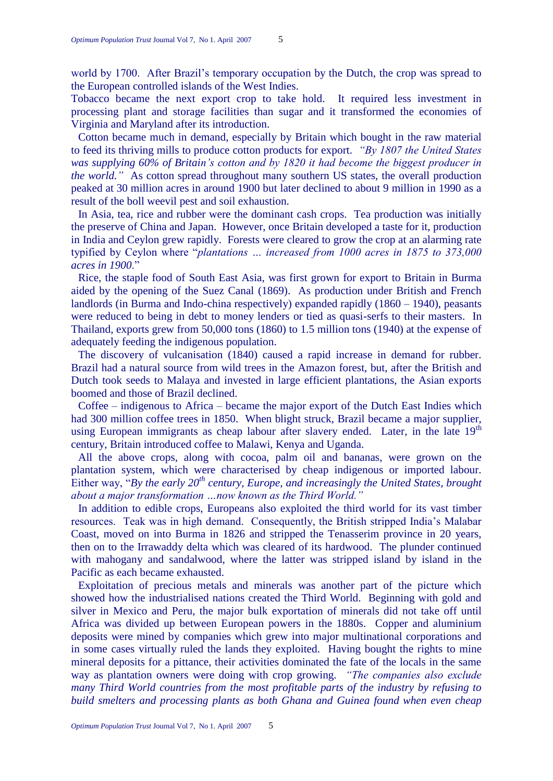world by 1700. After Brazil's temporary occupation by the Dutch, the crop was spread to the European controlled islands of the West Indies.

Tobacco became the next export crop to take hold. It required less investment in processing plant and storage facilities than sugar and it transformed the economies of Virginia and Maryland after its introduction.

Cotton became much in demand, especially by Britain which bought in the raw material to feed its thriving mills to produce cotton products for export. *"By 1807 the United States was supplying 60% of Britain"s cotton and by 1820 it had become the biggest producer in the world."* As cotton spread throughout many southern US states, the overall production peaked at 30 million acres in around 1900 but later declined to about 9 million in 1990 as a result of the boll weevil pest and soil exhaustion.

In Asia, tea, rice and rubber were the dominant cash crops. Tea production was initially the preserve of China and Japan. However, once Britain developed a taste for it, production in India and Ceylon grew rapidly. Forests were cleared to grow the crop at an alarming rate typified by Ceylon where "*plantations ... increased from 1000 acres in 1875 to 373,000 acres in 1900.*"

Rice, the staple food of South East Asia, was first grown for export to Britain in Burma aided by the opening of the Suez Canal (1869). As production under British and French landlords (in Burma and Indo-china respectively) expanded rapidly (1860 – 1940), peasants were reduced to being in debt to money lenders or tied as quasi-serfs to their masters. In Thailand, exports grew from 50,000 tons (1860) to 1.5 million tons (1940) at the expense of adequately feeding the indigenous population.

The discovery of vulcanisation (1840) caused a rapid increase in demand for rubber. Brazil had a natural source from wild trees in the Amazon forest, but, after the British and Dutch took seeds to Malaya and invested in large efficient plantations, the Asian exports boomed and those of Brazil declined.

Coffee – indigenous to Africa – became the major export of the Dutch East Indies which had 300 million coffee trees in 1850. When blight struck, Brazil became a major supplier, using European immigrants as cheap labour after slavery ended. Later, in the late 19<sup>th</sup> century, Britain introduced coffee to Malawi, Kenya and Uganda.

All the above crops, along with cocoa, palm oil and bananas, were grown on the plantation system, which were characterised by cheap indigenous or imported labour. Either way, "By the early 20<sup>th</sup> century, Europe, and increasingly the United States, brought *about a major transformation …now known as the Third World."*

In addition to edible crops, Europeans also exploited the third world for its vast timber resources. Teak was in high demand. Consequently, the British stripped India's Malabar Coast, moved on into Burma in 1826 and stripped the Tenasserim province in 20 years, then on to the Irrawaddy delta which was cleared of its hardwood. The plunder continued with mahogany and sandalwood, where the latter was stripped island by island in the Pacific as each became exhausted.

Exploitation of precious metals and minerals was another part of the picture which showed how the industrialised nations created the Third World. Beginning with gold and silver in Mexico and Peru, the major bulk exportation of minerals did not take off until Africa was divided up between European powers in the 1880s. Copper and aluminium deposits were mined by companies which grew into major multinational corporations and in some cases virtually ruled the lands they exploited. Having bought the rights to mine mineral deposits for a pittance, their activities dominated the fate of the locals in the same way as plantation owners were doing with crop growing. *"The companies also exclude many Third World countries from the most profitable parts of the industry by refusing to build smelters and processing plants as both Ghana and Guinea found when even cheap*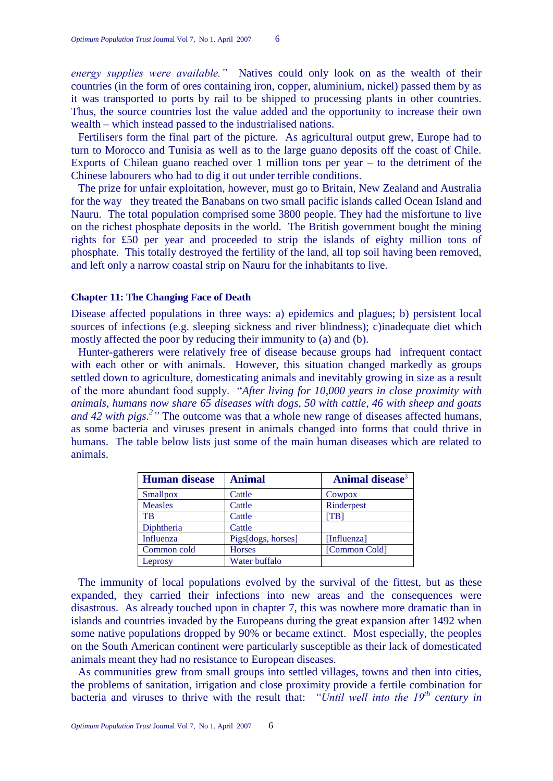*energy supplies were available."* Natives could only look on as the wealth of their countries (in the form of ores containing iron, copper, aluminium, nickel) passed them by as it was transported to ports by rail to be shipped to processing plants in other countries. Thus, the source countries lost the value added and the opportunity to increase their own wealth – which instead passed to the industrialised nations.

Fertilisers form the final part of the picture. As agricultural output grew, Europe had to turn to Morocco and Tunisia as well as to the large guano deposits off the coast of Chile. Exports of Chilean guano reached over 1 million tons per year – to the detriment of the Chinese labourers who had to dig it out under terrible conditions.

The prize for unfair exploitation, however, must go to Britain, New Zealand and Australia for the way they treated the Banabans on two small pacific islands called Ocean Island and Nauru. The total population comprised some 3800 people. They had the misfortune to live on the richest phosphate deposits in the world. The British government bought the mining rights for £50 per year and proceeded to strip the islands of eighty million tons of phosphate. This totally destroyed the fertility of the land, all top soil having been removed, and left only a narrow coastal strip on Nauru for the inhabitants to live.

#### **Chapter 11: The Changing Face of Death**

Disease affected populations in three ways: a) epidemics and plagues; b) persistent local sources of infections (e.g. sleeping sickness and river blindness); c)inadequate diet which mostly affected the poor by reducing their immunity to (a) and (b).

Hunter-gatherers were relatively free of disease because groups had infrequent contact with each other or with animals. However, this situation changed markedly as groups settled down to agriculture, domesticating animals and inevitably growing in size as a result of the more abundant food supply. ―*After living for 10,000 years in close proximity with animals, humans now share 65 diseases with dogs, 50 with cattle, 46 with sheep and goats and 42 with pigs.*<sup>2</sup> *"* The outcome was that a whole new range of diseases affected humans, as some bacteria and viruses present in animals changed into forms that could thrive in humans. The table below lists just some of the main human diseases which are related to animals.

| <b>Human disease</b> | <b>Animal</b>      | Animal disease <sup>3</sup> |
|----------------------|--------------------|-----------------------------|
| <b>Smallpox</b>      | Cattle             | Cowpox                      |
| <b>Measles</b>       | Cattle             | Rinderpest                  |
| <b>TB</b>            | Cattle             | [TB]                        |
| Diphtheria           | Cattle             |                             |
| Influenza            | Pigs[dogs, horses] | [Influenza]                 |
| Common cold          | <b>Horses</b>      | [Common Cold]               |
| Leprosy              | Water buffalo      |                             |

The immunity of local populations evolved by the survival of the fittest, but as these expanded, they carried their infections into new areas and the consequences were disastrous. As already touched upon in chapter 7, this was nowhere more dramatic than in islands and countries invaded by the Europeans during the great expansion after 1492 when some native populations dropped by 90% or became extinct. Most especially, the peoples on the South American continent were particularly susceptible as their lack of domesticated animals meant they had no resistance to European diseases.

As communities grew from small groups into settled villages, towns and then into cities, the problems of sanitation, irrigation and close proximity provide a fertile combination for bacteria and viruses to thrive with the result that: *"Until well into the 19th century in*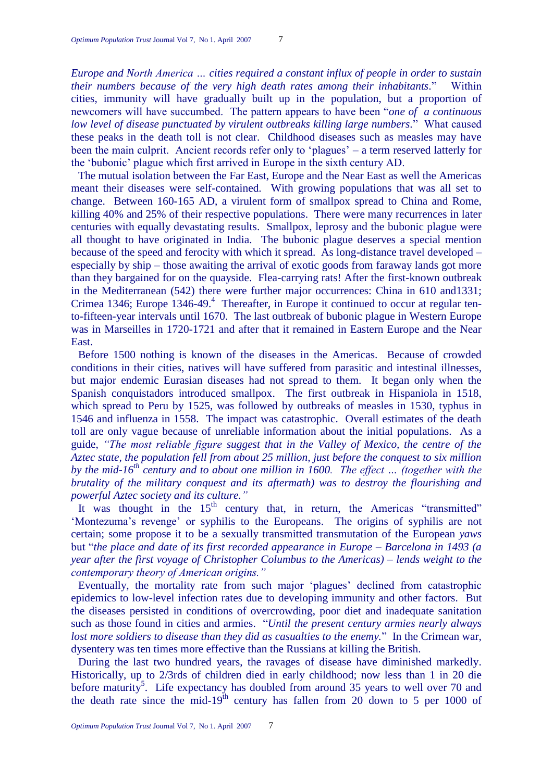*Europe and North America … cities required a constant influx of people in order to sustain their numbers because of the very high death rates among their inhabitants.*‖ Within cities, immunity will have gradually built up in the population, but a proportion of newcomers will have succumbed. The pattern appears to have been "*one of a continuous low level of disease punctuated by virulent outbreaks killing large numbers.*‖ What caused these peaks in the death toll is not clear. Childhood diseases such as measles may have been the main culprit. Ancient records refer only to 'plagues' – a term reserved latterly for the ‗bubonic' plague which first arrived in Europe in the sixth century AD.

The mutual isolation between the Far East, Europe and the Near East as well the Americas meant their diseases were self-contained. With growing populations that was all set to change. Between 160-165 AD, a virulent form of smallpox spread to China and Rome, killing 40% and 25% of their respective populations. There were many recurrences in later centuries with equally devastating results. Smallpox, leprosy and the bubonic plague were all thought to have originated in India. The bubonic plague deserves a special mention because of the speed and ferocity with which it spread. As long-distance travel developed – especially by ship – those awaiting the arrival of exotic goods from faraway lands got more than they bargained for on the quayside. Flea-carrying rats! After the first-known outbreak in the Mediterranean (542) there were further major occurrences: China in 610 and1331; Crimea 1346; Europe 1346-49.<sup>4</sup> Thereafter, in Europe it continued to occur at regular tento-fifteen-year intervals until 1670. The last outbreak of bubonic plague in Western Europe was in Marseilles in 1720-1721 and after that it remained in Eastern Europe and the Near East.

Before 1500 nothing is known of the diseases in the Americas. Because of crowded conditions in their cities, natives will have suffered from parasitic and intestinal illnesses, but major endemic Eurasian diseases had not spread to them. It began only when the Spanish conquistadors introduced smallpox. The first outbreak in Hispaniola in 1518, which spread to Peru by 1525, was followed by outbreaks of measles in 1530, typhus in 1546 and influenza in 1558. The impact was catastrophic. Overall estimates of the death toll are only vague because of unreliable information about the initial populations. As a guide, *"The most reliable figure suggest that in the Valley of Mexico, the centre of the Aztec state, the population fell from about 25 million, just before the conquest to six million by the mid-16th century and to about one million in 1600. The effect … (together with the brutality of the military conquest and its aftermath) was to destroy the flourishing and powerful Aztec society and its culture."*

It was thought in the  $15<sup>th</sup>$  century that, in return, the Americas "transmitted" ‗Montezuma's revenge' or syphilis to the Europeans. The origins of syphilis are not certain; some propose it to be a sexually transmitted transmutation of the European *yaws* but ―*the place and date of its first recorded appearance in Europe – Barcelona in 1493 (a year after the first voyage of Christopher Columbus to the Americas) – lends weight to the contemporary theory of American origins."*

Eventually, the mortality rate from such major 'plagues' declined from catastrophic epidemics to low-level infection rates due to developing immunity and other factors. But the diseases persisted in conditions of overcrowding, poor diet and inadequate sanitation such as those found in cities and armies. "Until the present century armies nearly always *lost more soldiers to disease than they did as casualties to the enemy.*" In the Crimean war, dysentery was ten times more effective than the Russians at killing the British.

During the last two hundred years, the ravages of disease have diminished markedly. Historically, up to 2/3rds of children died in early childhood; now less than 1 in 20 die before maturity<sup>5</sup>. Life expectancy has doubled from around 35 years to well over 70 and the death rate since the mid-19<sup>th</sup> century has fallen from 20 down to 5 per 1000 of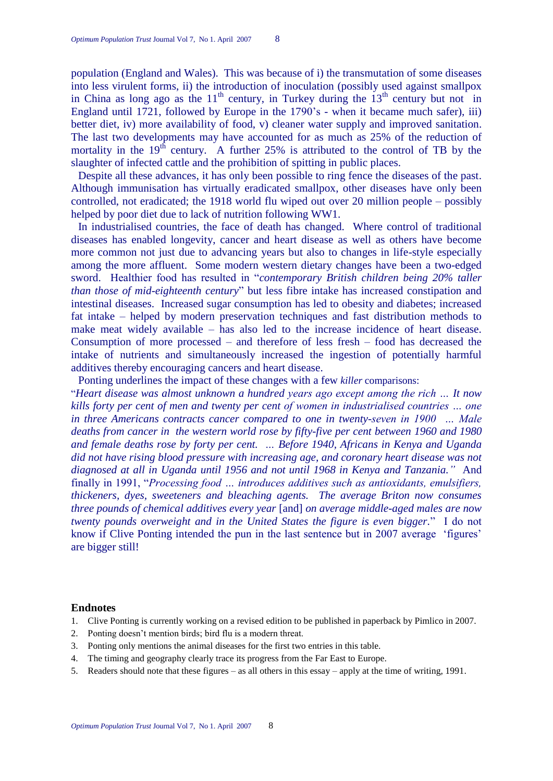population (England and Wales). This was because of i) the transmutation of some diseases into less virulent forms, ii) the introduction of inoculation (possibly used against smallpox in China as long ago as the  $11<sup>th</sup>$  century, in Turkey during the  $13<sup>th</sup>$  century but not in England until 1721, followed by Europe in the 1790's - when it became much safer), iii) better diet, iv) more availability of food, v) cleaner water supply and improved sanitation. The last two developments may have accounted for as much as 25% of the reduction of mortality in the  $19<sup>th</sup>$  century. A further 25% is attributed to the control of TB by the slaughter of infected cattle and the prohibition of spitting in public places.

Despite all these advances, it has only been possible to ring fence the diseases of the past. Although immunisation has virtually eradicated smallpox, other diseases have only been controlled, not eradicated; the 1918 world flu wiped out over 20 million people – possibly helped by poor diet due to lack of nutrition following WW1.

In industrialised countries, the face of death has changed. Where control of traditional diseases has enabled longevity, cancer and heart disease as well as others have become more common not just due to advancing years but also to changes in life-style especially among the more affluent. Some modern western dietary changes have been a two-edged sword. Healthier food has resulted in "*contemporary British children being 20% taller than those of mid-eighteenth century*" but less fibre intake has increased constipation and intestinal diseases. Increased sugar consumption has led to obesity and diabetes; increased fat intake – helped by modern preservation techniques and fast distribution methods to make meat widely available – has also led to the increase incidence of heart disease. Consumption of more processed – and therefore of less fresh – food has decreased the intake of nutrients and simultaneously increased the ingestion of potentially harmful additives thereby encouraging cancers and heart disease.

Ponting underlines the impact of these changes with a few *killer* comparisons:

―*Heart disease was almost unknown a hundred years ago except among the rich … It now kills forty per cent of men and twenty per cent of women in industrialised countries … one in three Americans contracts cancer compared to one in twenty-seven in 1900 … Male deaths from cancer in the western world rose by fifty-five per cent between 1960 and 1980 and female deaths rose by forty per cent. … Before 1940, Africans in Kenya and Uganda did not have rising blood pressure with increasing age, and coronary heart disease was not diagnosed at all in Uganda until 1956 and not until 1968 in Kenya and Tanzania."* And finally in 1991, "Processing food ... introduces additives such as antioxidants, emulsifiers, *thickeners, dyes, sweeteners and bleaching agents. The average Briton now consumes three pounds of chemical additives every year* [and] *on average middle-aged males are now twenty pounds overweight and in the United States the figure is even bigger.*‖ I do not know if Clive Ponting intended the pun in the last sentence but in 2007 average 'figures' are bigger still!

#### **Endnotes**

- 1. Clive Ponting is currently working on a revised edition to be published in paperback by Pimlico in 2007.
- 2. Ponting doesn't mention birds; bird flu is a modern threat.
- 3. Ponting only mentions the animal diseases for the first two entries in this table.
- 4. The timing and geography clearly trace its progress from the Far East to Europe.
- 5. Readers should note that these figures as all others in this essay apply at the time of writing, 1991.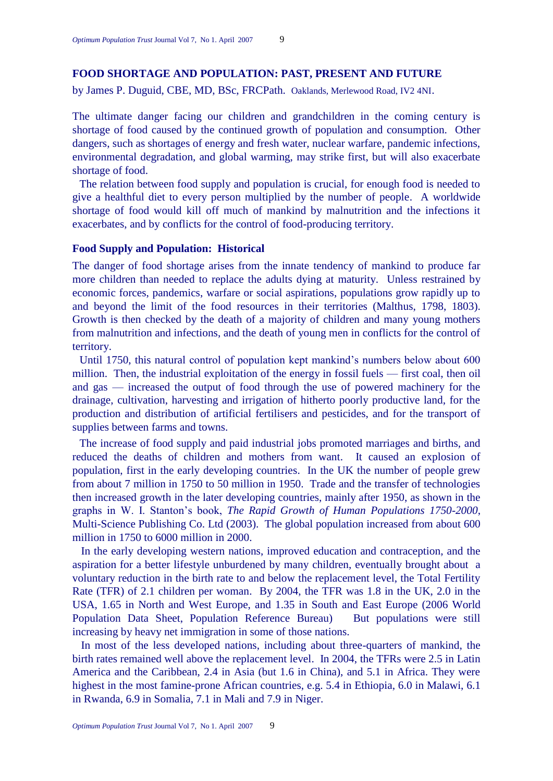# **FOOD SHORTAGE AND POPULATION: PAST, PRESENT AND FUTURE**

by James P. Duguid, CBE, MD, BSc, FRCPath. Oaklands, Merlewood Road, IV2 4NI.

The ultimate danger facing our children and grandchildren in the coming century is shortage of food caused by the continued growth of population and consumption. Other dangers, such as shortages of energy and fresh water, nuclear warfare, pandemic infections, environmental degradation, and global warming, may strike first, but will also exacerbate shortage of food.

The relation between food supply and population is crucial, for enough food is needed to give a healthful diet to every person multiplied by the number of people. A worldwide shortage of food would kill off much of mankind by malnutrition and the infections it exacerbates, and by conflicts for the control of food-producing territory.

# **Food Supply and Population: Historical**

The danger of food shortage arises from the innate tendency of mankind to produce far more children than needed to replace the adults dying at maturity. Unless restrained by economic forces, pandemics, warfare or social aspirations, populations grow rapidly up to and beyond the limit of the food resources in their territories (Malthus, 1798, 1803). Growth is then checked by the death of a majority of children and many young mothers from malnutrition and infections, and the death of young men in conflicts for the control of territory.

Until 1750, this natural control of population kept mankind's numbers below about 600 million. Then, the industrial exploitation of the energy in fossil fuels — first coal, then oil and gas — increased the output of food through the use of powered machinery for the drainage, cultivation, harvesting and irrigation of hitherto poorly productive land, for the production and distribution of artificial fertilisers and pesticides, and for the transport of supplies between farms and towns.

The increase of food supply and paid industrial jobs promoted marriages and births, and reduced the deaths of children and mothers from want. It caused an explosion of population, first in the early developing countries. In the UK the number of people grew from about 7 million in 1750 to 50 million in 1950. Trade and the transfer of technologies then increased growth in the later developing countries, mainly after 1950, as shown in the graphs in W. I. Stanton's book, *The Rapid Growth of Human Populations 1750-2000*, Multi-Science Publishing Co. Ltd (2003). The global population increased from about 600 million in 1750 to 6000 million in 2000.

In the early developing western nations, improved education and contraception, and the aspiration for a better lifestyle unburdened by many children, eventually brought about a voluntary reduction in the birth rate to and below the replacement level, the Total Fertility Rate (TFR) of 2.1 children per woman. By 2004, the TFR was 1.8 in the UK, 2.0 in the USA, 1.65 in North and West Europe, and 1.35 in South and East Europe (2006 World Population Data Sheet, Population Reference Bureau) But populations were still increasing by heavy net immigration in some of those nations.

In most of the less developed nations, including about three-quarters of mankind, the birth rates remained well above the replacement level. In 2004, the TFRs were 2.5 in Latin America and the Caribbean, 2.4 in Asia (but 1.6 in China), and 5.1 in Africa. They were highest in the most famine-prone African countries, e.g. 5.4 in Ethiopia, 6.0 in Malawi, 6.1 in Rwanda, 6.9 in Somalia, 7.1 in Mali and 7.9 in Niger.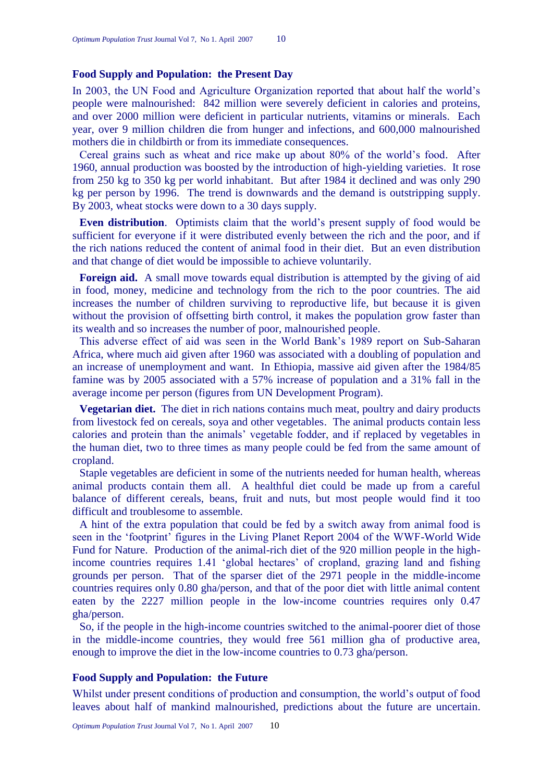#### **Food Supply and Population: the Present Day**

In 2003, the UN Food and Agriculture Organization reported that about half the world's people were malnourished: 842 million were severely deficient in calories and proteins, and over 2000 million were deficient in particular nutrients, vitamins or minerals. Each year, over 9 million children die from hunger and infections, and 600,000 malnourished mothers die in childbirth or from its immediate consequences.

Cereal grains such as wheat and rice make up about 80% of the world's food. After 1960, annual production was boosted by the introduction of high-yielding varieties. It rose from 250 kg to 350 kg per world inhabitant. But after 1984 it declined and was only 290 kg per person by 1996. The trend is downwards and the demand is outstripping supply. By 2003, wheat stocks were down to a 30 days supply.

**Even distribution**. Optimists claim that the world's present supply of food would be sufficient for everyone if it were distributed evenly between the rich and the poor, and if the rich nations reduced the content of animal food in their diet. But an even distribution and that change of diet would be impossible to achieve voluntarily.

**Foreign aid.** A small move towards equal distribution is attempted by the giving of aid in food, money, medicine and technology from the rich to the poor countries. The aid increases the number of children surviving to reproductive life, but because it is given without the provision of offsetting birth control, it makes the population grow faster than its wealth and so increases the number of poor, malnourished people.

This adverse effect of aid was seen in the World Bank's 1989 report on Sub-Saharan Africa, where much aid given after 1960 was associated with a doubling of population and an increase of unemployment and want. In Ethiopia, massive aid given after the 1984/85 famine was by 2005 associated with a 57% increase of population and a 31% fall in the average income per person (figures from UN Development Program).

**Vegetarian diet.** The diet in rich nations contains much meat, poultry and dairy products from livestock fed on cereals, soya and other vegetables. The animal products contain less calories and protein than the animals' vegetable fodder, and if replaced by vegetables in the human diet, two to three times as many people could be fed from the same amount of cropland.

Staple vegetables are deficient in some of the nutrients needed for human health, whereas animal products contain them all. A healthful diet could be made up from a careful balance of different cereals, beans, fruit and nuts, but most people would find it too difficult and troublesome to assemble.

A hint of the extra population that could be fed by a switch away from animal food is seen in the 'footprint' figures in the Living Planet Report 2004 of the WWF-World Wide Fund for Nature. Production of the animal-rich diet of the 920 million people in the highincome countries requires 1.41 ‗global hectares' of cropland, grazing land and fishing grounds per person. That of the sparser diet of the 2971 people in the middle-income countries requires only 0.80 gha/person, and that of the poor diet with little animal content eaten by the 2227 million people in the low-income countries requires only 0.47 gha/person.

So, if the people in the high-income countries switched to the animal-poorer diet of those in the middle-income countries, they would free 561 million gha of productive area, enough to improve the diet in the low-income countries to 0.73 gha/person.

## **Food Supply and Population: the Future**

Whilst under present conditions of production and consumption, the world's output of food leaves about half of mankind malnourished, predictions about the future are uncertain.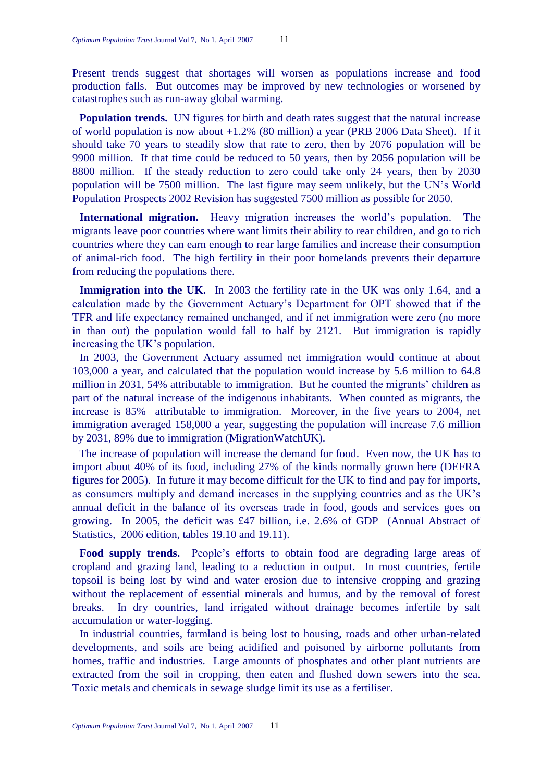Present trends suggest that shortages will worsen as populations increase and food production falls. But outcomes may be improved by new technologies or worsened by catastrophes such as run-away global warming.

**Population trends.** UN figures for birth and death rates suggest that the natural increase of world population is now about +1.2% (80 million) a year (PRB 2006 Data Sheet). If it should take 70 years to steadily slow that rate to zero, then by 2076 population will be 9900 million. If that time could be reduced to 50 years, then by 2056 population will be 8800 million. If the steady reduction to zero could take only 24 years, then by 2030 population will be 7500 million. The last figure may seem unlikely, but the UN's World Population Prospects 2002 Revision has suggested 7500 million as possible for 2050.

**International migration.** Heavy migration increases the world's population. The migrants leave poor countries where want limits their ability to rear children, and go to rich countries where they can earn enough to rear large families and increase their consumption of animal-rich food. The high fertility in their poor homelands prevents their departure from reducing the populations there.

**Immigration into the UK.** In 2003 the fertility rate in the UK was only 1.64, and a calculation made by the Government Actuary's Department for OPT showed that if the TFR and life expectancy remained unchanged, and if net immigration were zero (no more in than out) the population would fall to half by 2121. But immigration is rapidly increasing the UK's population.

In 2003, the Government Actuary assumed net immigration would continue at about 103,000 a year, and calculated that the population would increase by 5.6 million to 64.8 million in 2031, 54% attributable to immigration. But he counted the migrants' children as part of the natural increase of the indigenous inhabitants. When counted as migrants, the increase is 85% attributable to immigration. Moreover, in the five years to 2004, net immigration averaged 158,000 a year, suggesting the population will increase 7.6 million by 2031, 89% due to immigration (MigrationWatchUK).

The increase of population will increase the demand for food. Even now, the UK has to import about 40% of its food, including 27% of the kinds normally grown here (DEFRA figures for 2005). In future it may become difficult for the UK to find and pay for imports, as consumers multiply and demand increases in the supplying countries and as the UK's annual deficit in the balance of its overseas trade in food, goods and services goes on growing. In 2005, the deficit was £47 billion, i.e. 2.6% of GDP (Annual Abstract of Statistics, 2006 edition, tables 19.10 and 19.11).

**Food supply trends.** People's efforts to obtain food are degrading large areas of cropland and grazing land, leading to a reduction in output. In most countries, fertile topsoil is being lost by wind and water erosion due to intensive cropping and grazing without the replacement of essential minerals and humus, and by the removal of forest breaks. In dry countries, land irrigated without drainage becomes infertile by salt accumulation or water-logging.

In industrial countries, farmland is being lost to housing, roads and other urban-related developments, and soils are being acidified and poisoned by airborne pollutants from homes, traffic and industries. Large amounts of phosphates and other plant nutrients are extracted from the soil in cropping, then eaten and flushed down sewers into the sea. Toxic metals and chemicals in sewage sludge limit its use as a fertiliser.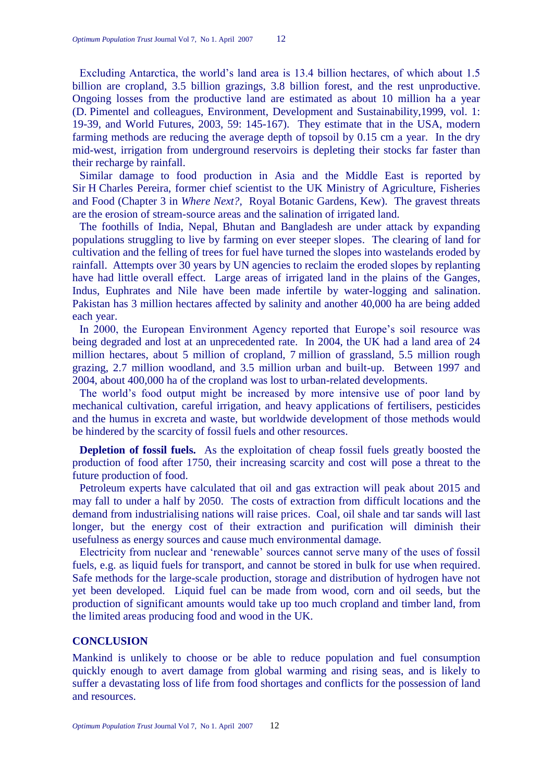Excluding Antarctica, the world's land area is 13.4 billion hectares, of which about 1.5 billion are cropland, 3.5 billion grazings, 3.8 billion forest, and the rest unproductive. Ongoing losses from the productive land are estimated as about 10 million ha a year (D. Pimentel and colleagues, Environment, Development and Sustainability,1999, vol. 1: 19-39, and World Futures, 2003, 59: 145-167). They estimate that in the USA, modern farming methods are reducing the average depth of topsoil by 0.15 cm a year. In the dry mid-west, irrigation from underground reservoirs is depleting their stocks far faster than their recharge by rainfall.

Similar damage to food production in Asia and the Middle East is reported by Sir H Charles Pereira, former chief scientist to the UK Ministry of Agriculture, Fisheries and Food (Chapter 3 in *Where Next?*, Royal Botanic Gardens, Kew). The gravest threats are the erosion of stream-source areas and the salination of irrigated land.

The foothills of India, Nepal, Bhutan and Bangladesh are under attack by expanding populations struggling to live by farming on ever steeper slopes. The clearing of land for cultivation and the felling of trees for fuel have turned the slopes into wastelands eroded by rainfall. Attempts over 30 years by UN agencies to reclaim the eroded slopes by replanting have had little overall effect. Large areas of irrigated land in the plains of the Ganges, Indus, Euphrates and Nile have been made infertile by water-logging and salination. Pakistan has 3 million hectares affected by salinity and another 40,000 ha are being added each year.

In 2000, the European Environment Agency reported that Europe's soil resource was being degraded and lost at an unprecedented rate. In 2004, the UK had a land area of 24 million hectares, about 5 million of cropland, 7 million of grassland, 5.5 million rough grazing, 2.7 million woodland, and 3.5 million urban and built-up. Between 1997 and 2004, about 400,000 ha of the cropland was lost to urban-related developments.

The world's food output might be increased by more intensive use of poor land by mechanical cultivation, careful irrigation, and heavy applications of fertilisers, pesticides and the humus in excreta and waste, but worldwide development of those methods would be hindered by the scarcity of fossil fuels and other resources.

**Depletion of fossil fuels.** As the exploitation of cheap fossil fuels greatly boosted the production of food after 1750, their increasing scarcity and cost will pose a threat to the future production of food.

Petroleum experts have calculated that oil and gas extraction will peak about 2015 and may fall to under a half by 2050. The costs of extraction from difficult locations and the demand from industrialising nations will raise prices. Coal, oil shale and tar sands will last longer, but the energy cost of their extraction and purification will diminish their usefulness as energy sources and cause much environmental damage.

Electricity from nuclear and 'renewable' sources cannot serve many of the uses of fossil fuels, e.g. as liquid fuels for transport, and cannot be stored in bulk for use when required. Safe methods for the large-scale production, storage and distribution of hydrogen have not yet been developed. Liquid fuel can be made from wood, corn and oil seeds, but the production of significant amounts would take up too much cropland and timber land, from the limited areas producing food and wood in the UK.

# **CONCLUSION**

Mankind is unlikely to choose or be able to reduce population and fuel consumption quickly enough to avert damage from global warming and rising seas, and is likely to suffer a devastating loss of life from food shortages and conflicts for the possession of land and resources.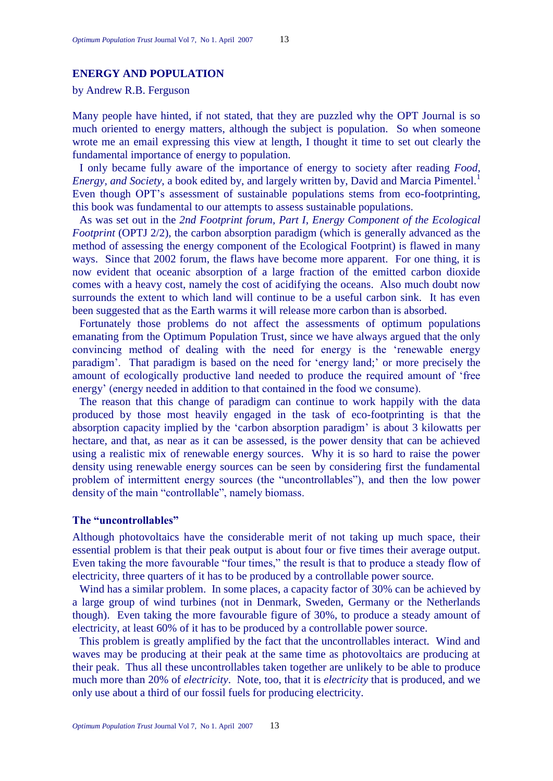# **ENERGY AND POPULATION**

by Andrew R.B. Ferguson

Many people have hinted, if not stated, that they are puzzled why the OPT Journal is so much oriented to energy matters, although the subject is population. So when someone wrote me an email expressing this view at length, I thought it time to set out clearly the fundamental importance of energy to population.

I only became fully aware of the importance of energy to society after reading *Food, Energy, and Society*, a book edited by, and largely written by, David and Marcia Pimentel.<sup>1</sup> Even though OPT's assessment of sustainable populations stems from eco-footprinting, this book was fundamental to our attempts to assess sustainable populations.

As was set out in the *2nd Footprint forum, Part I, Energy Component of the Ecological Footprint* (OPTJ 2/2), the carbon absorption paradigm (which is generally advanced as the method of assessing the energy component of the Ecological Footprint) is flawed in many ways. Since that 2002 forum, the flaws have become more apparent. For one thing, it is now evident that oceanic absorption of a large fraction of the emitted carbon dioxide comes with a heavy cost, namely the cost of acidifying the oceans. Also much doubt now surrounds the extent to which land will continue to be a useful carbon sink. It has even been suggested that as the Earth warms it will release more carbon than is absorbed.

Fortunately those problems do not affect the assessments of optimum populations emanating from the Optimum Population Trust, since we have always argued that the only convincing method of dealing with the need for energy is the 'renewable energy paradigm'. That paradigm is based on the need for 'energy land;' or more precisely the amount of ecologically productive land needed to produce the required amount of 'free energy' (energy needed in addition to that contained in the food we consume).

The reason that this change of paradigm can continue to work happily with the data produced by those most heavily engaged in the task of eco-footprinting is that the absorption capacity implied by the 'carbon absorption paradigm' is about 3 kilowatts per hectare, and that, as near as it can be assessed, is the power density that can be achieved using a realistic mix of renewable energy sources. Why it is so hard to raise the power density using renewable energy sources can be seen by considering first the fundamental problem of intermittent energy sources (the "uncontrollables"), and then the low power density of the main "controllable", namely biomass.

#### **The "uncontrollables"**

Although photovoltaics have the considerable merit of not taking up much space, their essential problem is that their peak output is about four or five times their average output. Even taking the more favourable "four times," the result is that to produce a steady flow of electricity, three quarters of it has to be produced by a controllable power source.

Wind has a similar problem. In some places, a capacity factor of 30% can be achieved by a large group of wind turbines (not in Denmark, Sweden, Germany or the Netherlands though). Even taking the more favourable figure of 30%, to produce a steady amount of electricity, at least 60% of it has to be produced by a controllable power source.

This problem is greatly amplified by the fact that the uncontrollables interact. Wind and waves may be producing at their peak at the same time as photovoltaics are producing at their peak. Thus all these uncontrollables taken together are unlikely to be able to produce much more than 20% of *electricity*. Note, too, that it is *electricity* that is produced, and we only use about a third of our fossil fuels for producing electricity.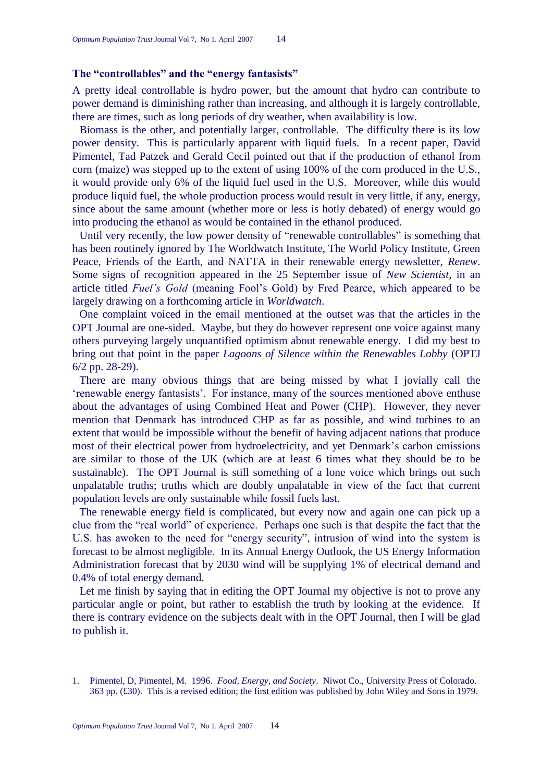# **The "controllables" and the "energy fantasists"**

A pretty ideal controllable is hydro power, but the amount that hydro can contribute to power demand is diminishing rather than increasing, and although it is largely controllable, there are times, such as long periods of dry weather, when availability is low.

Biomass is the other, and potentially larger, controllable. The difficulty there is its low power density. This is particularly apparent with liquid fuels. In a recent paper, David Pimentel, Tad Patzek and Gerald Cecil pointed out that if the production of ethanol from corn (maize) was stepped up to the extent of using 100% of the corn produced in the U.S., it would provide only 6% of the liquid fuel used in the U.S. Moreover, while this would produce liquid fuel, the whole production process would result in very little, if any, energy, since about the same amount (whether more or less is hotly debated) of energy would go into producing the ethanol as would be contained in the ethanol produced.

Until very recently, the low power density of "renewable controllables" is something that has been routinely ignored by The Worldwatch Institute, The World Policy Institute, Green Peace, Friends of the Earth, and NATTA in their renewable energy newsletter, *Renew*. Some signs of recognition appeared in the 25 September issue of *New Scientist*, in an article titled *Fuel"s Gold* (meaning Fool's Gold) by Fred Pearce, which appeared to be largely drawing on a forthcoming article in *Worldwatch*.

One complaint voiced in the email mentioned at the outset was that the articles in the OPT Journal are one-sided. Maybe, but they do however represent one voice against many others purveying largely unquantified optimism about renewable energy. I did my best to bring out that point in the paper *Lagoons of Silence within the Renewables Lobby* (OPTJ 6/2 pp. 28-29).

There are many obvious things that are being missed by what I jovially call the ‗renewable energy fantasists'. For instance, many of the sources mentioned above enthuse about the advantages of using Combined Heat and Power (CHP). However, they never mention that Denmark has introduced CHP as far as possible, and wind turbines to an extent that would be impossible without the benefit of having adjacent nations that produce most of their electrical power from hydroelectricity, and yet Denmark's carbon emissions are similar to those of the UK (which are at least 6 times what they should be to be sustainable). The OPT Journal is still something of a lone voice which brings out such unpalatable truths; truths which are doubly unpalatable in view of the fact that current population levels are only sustainable while fossil fuels last.

The renewable energy field is complicated, but every now and again one can pick up a clue from the "real world" of experience. Perhaps one such is that despite the fact that the U.S. has awoken to the need for "energy security", intrusion of wind into the system is forecast to be almost negligible. In its Annual Energy Outlook, the US Energy Information Administration forecast that by 2030 wind will be supplying 1% of electrical demand and 0.4% of total energy demand.

Let me finish by saying that in editing the OPT Journal my objective is not to prove any particular angle or point, but rather to establish the truth by looking at the evidence. If there is contrary evidence on the subjects dealt with in the OPT Journal, then I will be glad to publish it.

<sup>1.</sup> Pimentel, D, Pimentel, M. 1996. *Food, Energy, and Society*. Niwot Co., University Press of Colorado. 363 pp. (£30). This is a revised edition; the first edition was published by John Wiley and Sons in 1979.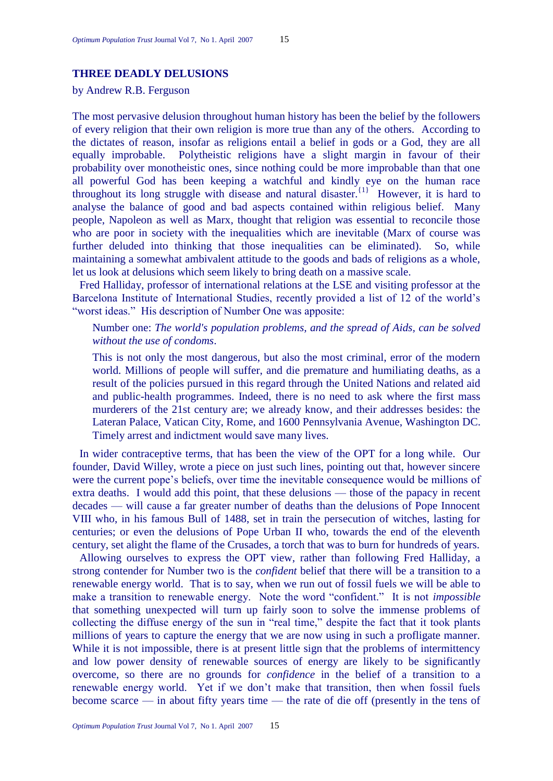## **THREE DEADLY DELUSIONS**

by Andrew R.B. Ferguson

The most pervasive delusion throughout human history has been the belief by the followers of every religion that their own religion is more true than any of the others. According to the dictates of reason, insofar as religions entail a belief in gods or a God, they are all equally improbable. Polytheistic religions have a slight margin in favour of their probability over monotheistic ones, since nothing could be more improbable than that one all powerful God has been keeping a watchful and kindly eye on the human race throughout its long struggle with disease and natural disaster.<sup>{1}</sup> However, it is hard to analyse the balance of good and bad aspects contained within religious belief. Many people, Napoleon as well as Marx, thought that religion was essential to reconcile those who are poor in society with the inequalities which are inevitable (Marx of course was further deluded into thinking that those inequalities can be eliminated). So, while maintaining a somewhat ambivalent attitude to the goods and bads of religions as a whole, let us look at delusions which seem likely to bring death on a massive scale.

Fred Halliday, professor of international relations at the LSE and visiting professor at the Barcelona Institute of International Studies, recently provided a list of 12 of the world's "worst ideas." His description of Number One was apposite:

Number one: *The world's population problems, and the spread of Aids, can be solved without the use of condoms*.

This is not only the most dangerous, but also the most criminal, error of the modern world. Millions of people will suffer, and die premature and humiliating deaths, as a result of the [policies](http://www.opendemocracy.net/globalization-hiv/twentyfive_years_4145.jsp) pursued in this regard through the United Nations and related aid and public-health programmes. Indeed, there is no need to ask where the first mass murderers of the 21st century are; we already know, and their addresses besides: the Lateran Palace, [Vatican](http://www.opendemocracy.net/globalization/benedict_4156.jsp) City, Rome, and 1600 Pennsylvania Avenue, Washington DC. Timely arrest and indictment would save many lives.

In wider contraceptive terms, that has been the view of the OPT for a long while. Our founder, David Willey, wrote a piece on just such lines, pointing out that, however sincere were the current pope's beliefs, over time the inevitable consequence would be millions of extra deaths. I would add this point, that these delusions — those of the papacy in recent decades — will cause a far greater number of deaths than the delusions of Pope Innocent VIII who, in his famous Bull of 1488, set in train the persecution of witches, lasting for centuries; or even the delusions of Pope Urban II who, towards the end of the eleventh century, set alight the flame of the Crusades, a torch that was to burn for hundreds of years.

Allowing ourselves to express the OPT view, rather than following Fred Halliday, a strong contender for Number two is the *confident* belief that there will be a transition to a renewable energy world. That is to say, when we run out of fossil fuels we will be able to make a transition to renewable energy. Note the word "confident." It is not *impossible* that something unexpected will turn up fairly soon to solve the immense problems of collecting the diffuse energy of the sun in "real time," despite the fact that it took plants millions of years to capture the energy that we are now using in such a profligate manner. While it is not impossible, there is at present little sign that the problems of intermittency and low power density of renewable sources of energy are likely to be significantly overcome, so there are no grounds for *confidence* in the belief of a transition to a renewable energy world. Yet if we don't make that transition, then when fossil fuels become scarce — in about fifty years time — the rate of die off (presently in the tens of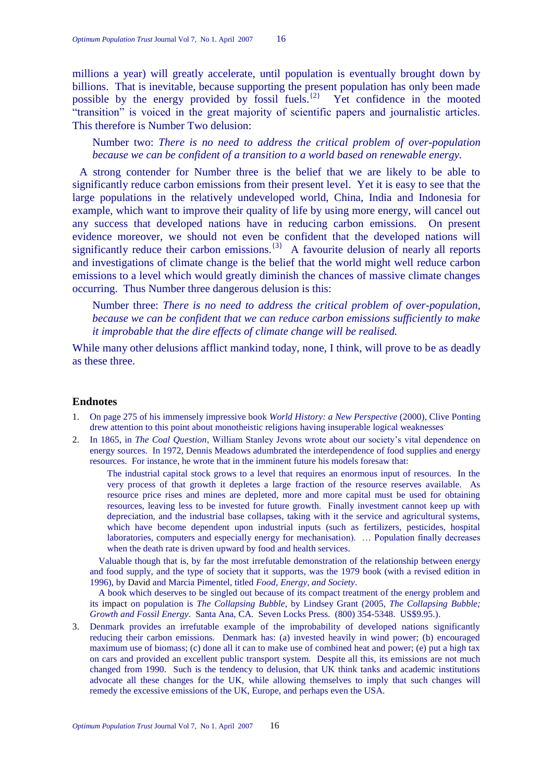millions a year) will greatly accelerate, until population is eventually brought down by billions. That is inevitable, because supporting the present population has only been made possible by the energy provided by fossil fuels.<sup> ${2}$ </sup> Yet confidence in the mooted "transition" is voiced in the great majority of scientific papers and journalistic articles. This therefore is Number Two delusion:

Number two: *There is no need to address the critical problem of over-population because we can be confident of a transition to a world based on renewable energy.* 

A strong contender for Number three is the belief that we are likely to be able to significantly reduce carbon emissions from their present level. Yet it is easy to see that the large populations in the relatively undeveloped world, China, India and Indonesia for example, which want to improve their quality of life by using more energy, will cancel out any success that developed nations have in reducing carbon emissions. On present evidence moreover, we should not even be confident that the developed nations will significantly reduce their carbon emissions.<sup>{3}</sup> A favourite delusion of nearly all reports and investigations of climate change is the belief that the world might well reduce carbon emissions to a level which would greatly diminish the chances of massive climate changes occurring. Thus Number three dangerous delusion is this:

Number three: *There is no need to address the critical problem of over-population, because we can be confident that we can reduce carbon emissions sufficiently to make it improbable that the dire effects of climate change will be realised.* 

While many other delusions afflict mankind today, none, I think, will prove to be as deadly as these three.

#### **Endnotes**

- 1. On page 275 of his immensely impressive book *World History: a New Perspective* (2000), Clive Ponting drew attention to this point about monotheistic religions having insuperable logical weaknesses.
- 2. In 1865, in *The Coal Question*, William Stanley Jevons wrote about our society's vital dependence on energy sources. In 1972, Dennis Meadows adumbrated the interdependence of food supplies and energy resources. For instance, he wrote that in the imminent future his models foresaw that:

The industrial capital stock grows to a level that requires an enormous input of resources. In the very process of that growth it depletes a large fraction of the resource reserves available. As resource price rises and mines are depleted, more and more capital must be used for obtaining resources, leaving less to be invested for future growth. Finally investment cannot keep up with depreciation, and the industrial base collapses, taking with it the service and agricultural systems, which have become dependent upon industrial inputs (such as fertilizers, pesticides, hospital laboratories, computers and especially energy for mechanisation). … Population finally decreases when the death rate is driven upward by food and health services.

Valuable though that is, by far the most irrefutable demonstration of the relationship between energy and food supply, and the type of society that it supports, was the 1979 book (with a revised edition in 1996), by David and Marcia Pimentel, titled *Food, Energy, and Society*.

A book which deserves to be singled out because of its compact treatment of the energy problem and its impact on population is *The Collapsing Bubble*, by Lindsey Grant (2005, *The Collapsing Bubble; Growth and Fossil Energy*. Santa Ana, CA. Seven Locks Press. (800) 354-5348. US\$9.95.).

3. Denmark provides an irrefutable example of the improbability of developed nations significantly reducing their carbon emissions. Denmark has: (a) invested heavily in wind power; (b) encouraged maximum use of biomass; (c) done all it can to make use of combined heat and power; (e) put a high tax on cars and provided an excellent public transport system. Despite all this, its emissions are not much changed from 1990. Such is the tendency to delusion, that UK think tanks and academic institutions advocate all these changes for the UK, while allowing themselves to imply that such changes will remedy the excessive emissions of the UK, Europe, and perhaps even the USA.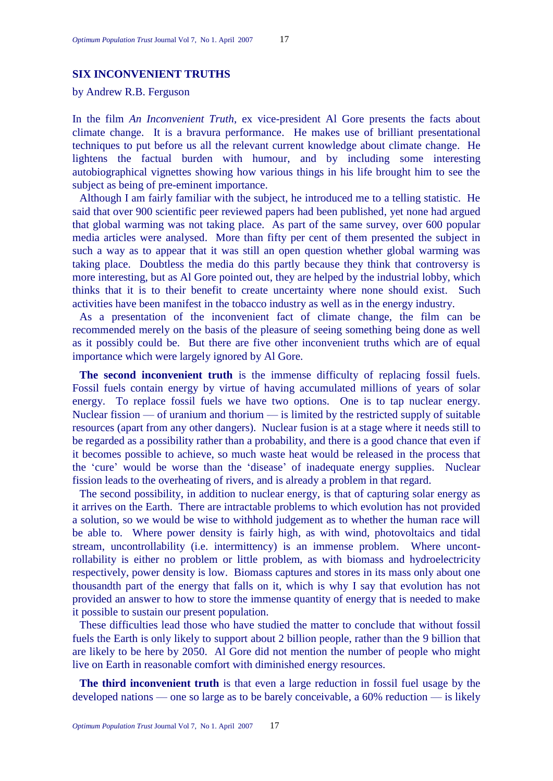# **SIX INCONVENIENT TRUTHS**

by Andrew R.B. Ferguson

In the film *An Inconvenient Truth*, ex vice-president Al Gore presents the facts about climate change. It is a bravura performance. He makes use of brilliant presentational techniques to put before us all the relevant current knowledge about climate change. He lightens the factual burden with humour, and by including some interesting autobiographical vignettes showing how various things in his life brought him to see the subject as being of pre-eminent importance.

Although I am fairly familiar with the subject, he introduced me to a telling statistic. He said that over 900 scientific peer reviewed papers had been published, yet none had argued that global warming was not taking place. As part of the same survey, over 600 popular media articles were analysed. More than fifty per cent of them presented the subject in such a way as to appear that it was still an open question whether global warming was taking place. Doubtless the media do this partly because they think that controversy is more interesting, but as Al Gore pointed out, they are helped by the industrial lobby, which thinks that it is to their benefit to create uncertainty where none should exist. Such activities have been manifest in the tobacco industry as well as in the energy industry.

As a presentation of the inconvenient fact of climate change, the film can be recommended merely on the basis of the pleasure of seeing something being done as well as it possibly could be. But there are five other inconvenient truths which are of equal importance which were largely ignored by Al Gore.

**The second inconvenient truth** is the immense difficulty of replacing fossil fuels. Fossil fuels contain energy by virtue of having accumulated millions of years of solar energy. To replace fossil fuels we have two options. One is to tap nuclear energy. Nuclear fission — of uranium and thorium — is limited by the restricted supply of suitable resources (apart from any other dangers). Nuclear fusion is at a stage where it needs still to be regarded as a possibility rather than a probability, and there is a good chance that even if it becomes possible to achieve, so much waste heat would be released in the process that the 'cure' would be worse than the 'disease' of inadequate energy supplies. Nuclear fission leads to the overheating of rivers, and is already a problem in that regard.

The second possibility, in addition to nuclear energy, is that of capturing solar energy as it arrives on the Earth. There are intractable problems to which evolution has not provided a solution, so we would be wise to withhold judgement as to whether the human race will be able to. Where power density is fairly high, as with wind, photovoltaics and tidal stream, uncontrollability (i.e. intermittency) is an immense problem. Where uncontrollability is either no problem or little problem, as with biomass and hydroelectricity respectively, power density is low. Biomass captures and stores in its mass only about one thousandth part of the energy that falls on it, which is why I say that evolution has not provided an answer to how to store the immense quantity of energy that is needed to make it possible to sustain our present population.

These difficulties lead those who have studied the matter to conclude that without fossil fuels the Earth is only likely to support about 2 billion people, rather than the 9 billion that are likely to be here by 2050. Al Gore did not mention the number of people who might live on Earth in reasonable comfort with diminished energy resources.

**The third inconvenient truth** is that even a large reduction in fossil fuel usage by the developed nations — one so large as to be barely conceivable, a 60% reduction — is likely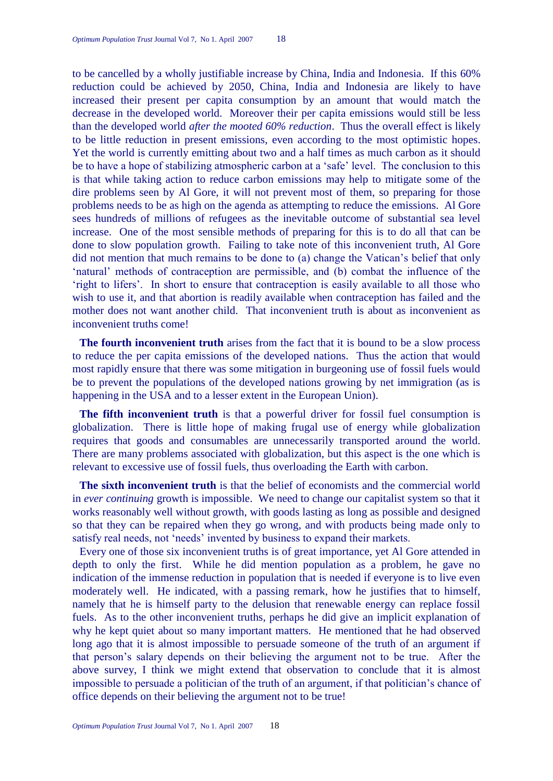to be cancelled by a wholly justifiable increase by China, India and Indonesia. If this 60% reduction could be achieved by 2050, China, India and Indonesia are likely to have increased their present per capita consumption by an amount that would match the decrease in the developed world. Moreover their per capita emissions would still be less than the developed world *after the mooted 60% reduction*. Thus the overall effect is likely to be little reduction in present emissions, even according to the most optimistic hopes. Yet the world is currently emitting about two and a half times as much carbon as it should be to have a hope of stabilizing atmospheric carbon at a 'safe' level. The conclusion to this is that while taking action to reduce carbon emissions may help to mitigate some of the dire problems seen by Al Gore, it will not prevent most of them, so preparing for those problems needs to be as high on the agenda as attempting to reduce the emissions. Al Gore sees hundreds of millions of refugees as the inevitable outcome of substantial sea level increase. One of the most sensible methods of preparing for this is to do all that can be done to slow population growth. Failing to take note of this inconvenient truth, Al Gore did not mention that much remains to be done to (a) change the Vatican's belief that only ‗natural' methods of contraception are permissible, and (b) combat the influence of the ‗right to lifers'. In short to ensure that contraception is easily available to all those who wish to use it, and that abortion is readily available when contraception has failed and the mother does not want another child. That inconvenient truth is about as inconvenient as inconvenient truths come!

**The fourth inconvenient truth** arises from the fact that it is bound to be a slow process to reduce the per capita emissions of the developed nations. Thus the action that would most rapidly ensure that there was some mitigation in burgeoning use of fossil fuels would be to prevent the populations of the developed nations growing by net immigration (as is happening in the USA and to a lesser extent in the European Union).

**The fifth inconvenient truth** is that a powerful driver for fossil fuel consumption is globalization. There is little hope of making frugal use of energy while globalization requires that goods and consumables are unnecessarily transported around the world. There are many problems associated with globalization, but this aspect is the one which is relevant to excessive use of fossil fuels, thus overloading the Earth with carbon.

**The sixth inconvenient truth** is that the belief of economists and the commercial world in *ever continuing* growth is impossible. We need to change our capitalist system so that it works reasonably well without growth, with goods lasting as long as possible and designed so that they can be repaired when they go wrong, and with products being made only to satisfy real needs, not 'needs' invented by business to expand their markets.

Every one of those six inconvenient truths is of great importance, yet Al Gore attended in depth to only the first. While he did mention population as a problem, he gave no indication of the immense reduction in population that is needed if everyone is to live even moderately well. He indicated, with a passing remark, how he justifies that to himself, namely that he is himself party to the delusion that renewable energy can replace fossil fuels. As to the other inconvenient truths, perhaps he did give an implicit explanation of why he kept quiet about so many important matters. He mentioned that he had observed long ago that it is almost impossible to persuade someone of the truth of an argument if that person's salary depends on their believing the argument not to be true. After the above survey, I think we might extend that observation to conclude that it is almost impossible to persuade a politician of the truth of an argument, if that politician's chance of office depends on their believing the argument not to be true!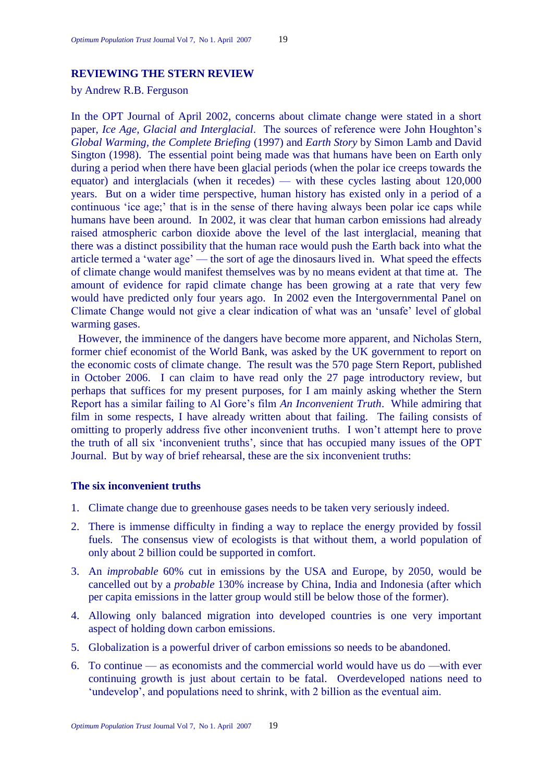# **REVIEWING THE STERN REVIEW**

by Andrew R.B. Ferguson

In the OPT Journal of April 2002, concerns about climate change were stated in a short paper, *Ice Age, Glacial and Interglacial*. The sources of reference were John Houghton's *Global Warming, the Complete Briefing* (1997) and *Earth Story* by Simon Lamb and David Sington (1998). The essential point being made was that humans have been on Earth only during a period when there have been glacial periods (when the polar ice creeps towards the equator) and interglacials (when it recedes) — with these cycles lasting about 120,000 years. But on a wider time perspective, human history has existed only in a period of a continuous 'ice age;' that is in the sense of there having always been polar ice caps while humans have been around. In 2002, it was clear that human carbon emissions had already raised atmospheric carbon dioxide above the level of the last interglacial, meaning that there was a distinct possibility that the human race would push the Earth back into what the article termed a 'water age' — the sort of age the dinosaurs lived in. What speed the effects of climate change would manifest themselves was by no means evident at that time at. The amount of evidence for rapid climate change has been growing at a rate that very few would have predicted only four years ago. In 2002 even the Intergovernmental Panel on Climate Change would not give a clear indication of what was an 'unsafe' level of global warming gases.

However, the imminence of the dangers have become more apparent, and Nicholas Stern, former chief economist of the World Bank, was asked by the UK government to report on the economic costs of climate change. The result was the 570 page Stern Report, published in October 2006. I can claim to have read only the 27 page introductory review, but perhaps that suffices for my present purposes, for I am mainly asking whether the Stern Report has a similar failing to Al Gore's film *An Inconvenient Truth*. While admiring that film in some respects, I have already written about that failing. The failing consists of omitting to properly address five other inconvenient truths. I won't attempt here to prove the truth of all six ‗inconvenient truths', since that has occupied many issues of the OPT Journal. But by way of brief rehearsal, these are the six inconvenient truths:

# **The six inconvenient truths**

- 1. Climate change due to greenhouse gases needs to be taken very seriously indeed.
- 2. There is immense difficulty in finding a way to replace the energy provided by fossil fuels. The consensus view of ecologists is that without them, a world population of only about 2 billion could be supported in comfort.
- 3. An *improbable* 60% cut in emissions by the USA and Europe, by 2050, would be cancelled out by a *probable* 130% increase by China, India and Indonesia (after which per capita emissions in the latter group would still be below those of the former).
- 4. Allowing only balanced migration into developed countries is one very important aspect of holding down carbon emissions.
- 5. Globalization is a powerful driver of carbon emissions so needs to be abandoned.
- 6. To continue as economists and the commercial world would have us do —with ever continuing growth is just about certain to be fatal. Overdeveloped nations need to ‗undevelop', and populations need to shrink, with 2 billion as the eventual aim.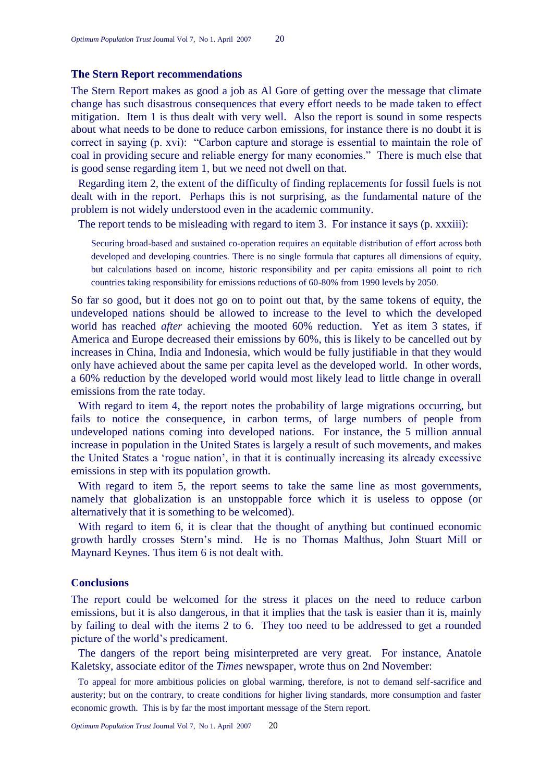#### **The Stern Report recommendations**

The Stern Report makes as good a job as Al Gore of getting over the message that climate change has such disastrous consequences that every effort needs to be made taken to effect mitigation. Item 1 is thus dealt with very well. Also the report is sound in some respects about what needs to be done to reduce carbon emissions, for instance there is no doubt it is correct in saying (p. xvi): "Carbon capture and storage is essential to maintain the role of coal in providing secure and reliable energy for many economies." There is much else that is good sense regarding item 1, but we need not dwell on that.

Regarding item 2, the extent of the difficulty of finding replacements for fossil fuels is not dealt with in the report. Perhaps this is not surprising, as the fundamental nature of the problem is not widely understood even in the academic community.

The report tends to be misleading with regard to item 3. For instance it says (p. xxxiii):

Securing broad-based and sustained co-operation requires an equitable distribution of effort across both developed and developing countries. There is no single formula that captures all dimensions of equity, but calculations based on income, historic responsibility and per capita emissions all point to rich countries taking responsibility for emissions reductions of 60-80% from 1990 levels by 2050.

So far so good, but it does not go on to point out that, by the same tokens of equity, the undeveloped nations should be allowed to increase to the level to which the developed world has reached *after* achieving the mooted 60% reduction. Yet as item 3 states, if America and Europe decreased their emissions by 60%, this is likely to be cancelled out by increases in China, India and Indonesia, which would be fully justifiable in that they would only have achieved about the same per capita level as the developed world. In other words, a 60% reduction by the developed world would most likely lead to little change in overall emissions from the rate today.

With regard to item 4, the report notes the probability of large migrations occurring, but fails to notice the consequence, in carbon terms, of large numbers of people from undeveloped nations coming into developed nations. For instance, the 5 million annual increase in population in the United States is largely a result of such movements, and makes the United States a 'rogue nation', in that it is continually increasing its already excessive emissions in step with its population growth.

With regard to item 5, the report seems to take the same line as most governments, namely that globalization is an unstoppable force which it is useless to oppose (or alternatively that it is something to be welcomed).

With regard to item 6, it is clear that the thought of anything but continued economic growth hardly crosses Stern's mind. He is no Thomas Malthus, John Stuart Mill or Maynard Keynes. Thus item 6 is not dealt with.

## **Conclusions**

The report could be welcomed for the stress it places on the need to reduce carbon emissions, but it is also dangerous, in that it implies that the task is easier than it is, mainly by failing to deal with the items 2 to 6. They too need to be addressed to get a rounded picture of the world's predicament.

The dangers of the report being misinterpreted are very great. For instance, Anatole Kaletsky, associate editor of the *Times* newspaper, wrote thus on 2nd November:

To appeal for more ambitious policies on global warming, therefore, is not to demand self-sacrifice and austerity; but on the contrary, to create conditions for higher living standards, more consumption and faster economic growth. This is by far the most important message of the Stern report.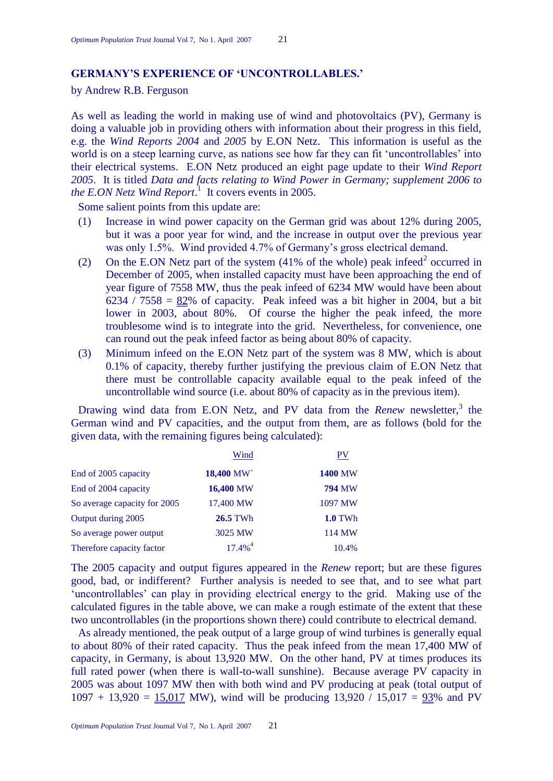# **GERMANY"S EXPERIENCE OF "UNCONTROLLABLES."**

by Andrew R.B. Ferguson

As well as leading the world in making use of wind and photovoltaics (PV), Germany is doing a valuable job in providing others with information about their progress in this field, e.g. the *Wind Reports 2004* and *2005* by E.ON Netz. This information is useful as the world is on a steep learning curve, as nations see how far they can fit 'uncontrollables' into their electrical systems. E.ON Netz produced an eight page update to their *Wind Report 2005*. It is titled *Data and facts relating to Wind Power in Germany; supplement 2006 to*  the *E.ON Netz Wind Report*.<sup>1</sup> It covers events in 2005.

Some salient points from this update are:

- (1) Increase in wind power capacity on the German grid was about 12% during 2005, but it was a poor year for wind, and the increase in output over the previous year was only 1.5%. Wind provided 4.7% of Germany's gross electrical demand.
- (2) On the E.ON Netz part of the system  $(41\%$  of the whole) peak infeed<sup>2</sup> occurred in December of 2005, when installed capacity must have been approaching the end of year figure of 7558 MW, thus the peak infeed of 6234 MW would have been about 6234 / 7558 =  $82\%$  of capacity. Peak infeed was a bit higher in 2004, but a bit lower in 2003, about 80%. Of course the higher the peak infeed, the more troublesome wind is to integrate into the grid. Nevertheless, for convenience, one can round out the peak infeed factor as being about 80% of capacity.
- (3) Minimum infeed on the E.ON Netz part of the system was 8 MW, which is about 0.1% of capacity, thereby further justifying the previous claim of E.ON Netz that there must be controllable capacity available equal to the peak infeed of the uncontrollable wind source (i.e. about 80% of capacity as in the previous item).

Drawing wind data from E.ON Netz, and PV data from the *Renew* newsletter,<sup>3</sup> the German wind and PV capacities, and the output from them, are as follows (bold for the given data, with the remaining figures being calculated):

|                              | Wind                  | $\overline{\text{PV}}$ |
|------------------------------|-----------------------|------------------------|
| End of 2005 capacity         | 18,400 MW             | <b>1400 MW</b>         |
| End of 2004 capacity         | 16,400 MW             | <b>794 MW</b>          |
| So average capacity for 2005 | 17,400 MW             | 1097 MW                |
| Output during 2005           | 26.5 TWh              | <b>1.0 TWh</b>         |
| So average power output      | 3025 MW               | 114 MW                 |
| Therefore capacity factor    | $17.4\%$ <sup>4</sup> | 10.4%                  |

The 2005 capacity and output figures appeared in the *Renew* report; but are these figures good, bad, or indifferent? Further analysis is needed to see that, and to see what part ‗uncontrollables' can play in providing electrical energy to the grid. Making use of the calculated figures in the table above, we can make a rough estimate of the extent that these two uncontrollables (in the proportions shown there) could contribute to electrical demand.

As already mentioned, the peak output of a large group of wind turbines is generally equal to about 80% of their rated capacity. Thus the peak infeed from the mean 17,400 MW of capacity, in Germany, is about 13,920 MW. On the other hand, PV at times produces its full rated power (when there is wall-to-wall sunshine). Because average PV capacity in 2005 was about 1097 MW then with both wind and PV producing at peak (total output of  $1097 + 13,920 = 15,017$  MW), wind will be producing  $13,920 / 15,017 = 93\%$  and PV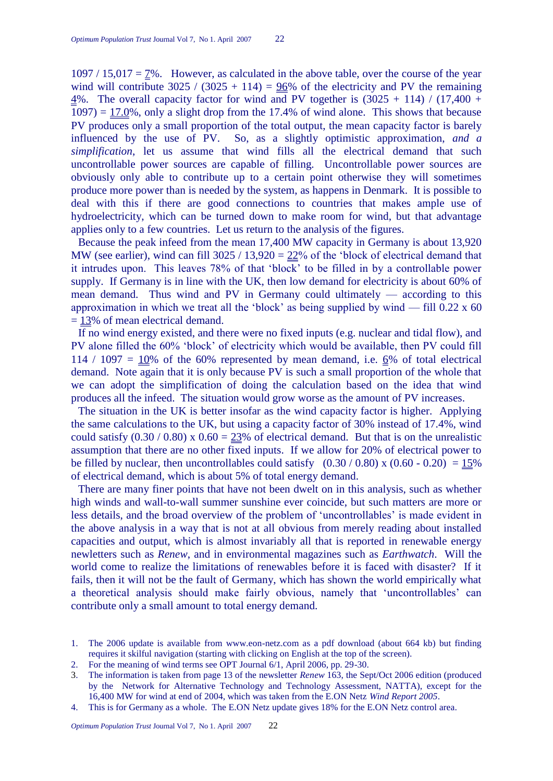$1097 / 15,017 = 7\%$ . However, as calculated in the above table, over the course of the year wind will contribute  $3025 / (3025 + 114) = 96\%$  of the electricity and PV the remaining  $\frac{4}{%}$ . The overall capacity factor for wind and PV together is (3025 + 114) / (17,400 +  $1097$  =  $17.0\%$ , only a slight drop from the 17.4% of wind alone. This shows that because PV produces only a small proportion of the total output, the mean capacity factor is barely influenced by the use of PV. So, as a slightly optimistic approximation, *and a simplification*, let us assume that wind fills all the electrical demand that such uncontrollable power sources are capable of filling. Uncontrollable power sources are obviously only able to contribute up to a certain point otherwise they will sometimes produce more power than is needed by the system, as happens in Denmark. It is possible to deal with this if there are good connections to countries that makes ample use of hydroelectricity, which can be turned down to make room for wind, but that advantage applies only to a few countries. Let us return to the analysis of the figures.

Because the peak infeed from the mean 17,400 MW capacity in Germany is about 13,920 MW (see earlier), wind can fill  $3025 / 13,920 = 22\%$  of the 'block of electrical demand that it intrudes upon. This leaves 78% of that ‗block' to be filled in by a controllable power supply. If Germany is in line with the UK, then low demand for electricity is about 60% of mean demand. Thus wind and PV in Germany could ultimately — according to this approximation in which we treat all the 'block' as being supplied by wind  $-$  fill 0.22 x 60  $= 13\%$  of mean electrical demand.

If no wind energy existed, and there were no fixed inputs (e.g. nuclear and tidal flow), and PV alone filled the 60% ‗block' of electricity which would be available, then PV could fill 114 / 1097 =  $10\%$  of the 60% represented by mean demand, i.e. 6% of total electrical demand. Note again that it is only because PV is such a small proportion of the whole that we can adopt the simplification of doing the calculation based on the idea that wind produces all the infeed. The situation would grow worse as the amount of PV increases.

The situation in the UK is better insofar as the wind capacity factor is higher. Applying the same calculations to the UK, but using a capacity factor of 30% instead of 17.4%, wind could satisfy  $(0.30 / 0.80)$  x  $0.60 = 23\%$  of electrical demand. But that is on the unrealistic assumption that there are no other fixed inputs. If we allow for 20% of electrical power to be filled by nuclear, then uncontrollables could satisfy  $(0.30 / 0.80)$  x  $(0.60 - 0.20) = 15%$ of electrical demand, which is about 5% of total energy demand.

There are many finer points that have not been dwelt on in this analysis, such as whether high winds and wall-to-wall summer sunshine ever coincide, but such matters are more or less details, and the broad overview of the problem of ‗uncontrollables' is made evident in the above analysis in a way that is not at all obvious from merely reading about installed capacities and output, which is almost invariably all that is reported in renewable energy newletters such as *Renew*, and in environmental magazines such as *Earthwatch*. Will the world come to realize the limitations of renewables before it is faced with disaster? If it fails, then it will not be the fault of Germany, which has shown the world empirically what a theoretical analysis should make fairly obvious, namely that ‗uncontrollables' can contribute only a small amount to total energy demand.

4. This is for Germany as a whole. The E.ON Netz update gives 18% for the E.ON Netz control area.

<sup>1.</sup> The 2006 update is available from www.eon-netz.com as a pdf download (about 664 kb) but finding requires it skilful navigation (starting with clicking on English at the top of the screen).

<sup>2.</sup> For the meaning of wind terms see OPT Journal 6/1, April 2006, pp. 29-30.

<sup>3.</sup> The information is taken from page 13 of the newsletter *Renew* 163, the Sept/Oct 2006 edition (produced by the Network for Alternative Technology and Technology Assessment, NATTA), except for the 16,400 MW for wind at end of 2004, which was taken from the E.ON Netz *Wind Report 2005*.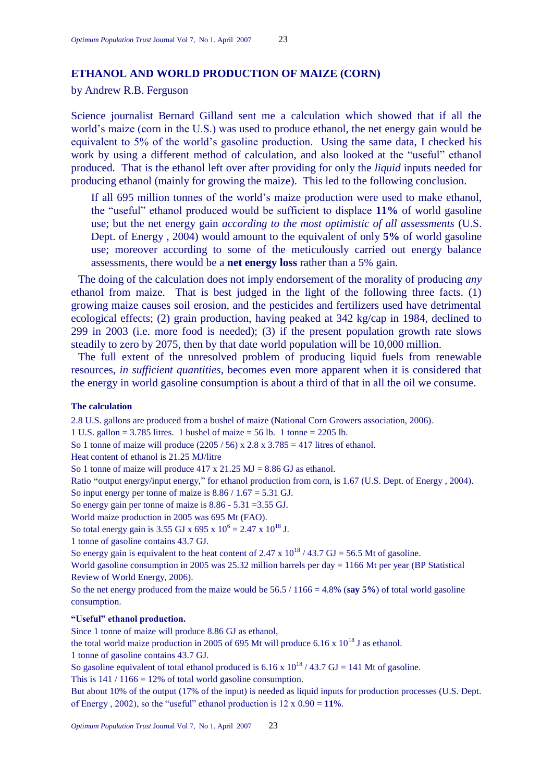# **ETHANOL AND WORLD PRODUCTION OF MAIZE (CORN)**

# by Andrew R.B. Ferguson

Science journalist Bernard Gilland sent me a calculation which showed that if all the world's maize (corn in the U.S.) was used to produce ethanol, the net energy gain would be equivalent to 5% of the world's gasoline production. Using the same data, I checked his work by using a different method of calculation, and also looked at the "useful" ethanol produced. That is the ethanol left over after providing for only the *liquid* inputs needed for producing ethanol (mainly for growing the maize). This led to the following conclusion.

If all 695 million tonnes of the world's maize production were used to make ethanol, the "useful" ethanol produced would be sufficient to displace 11% of world gasoline use; but the net energy gain *according to the most optimistic of all assessments* (U.S. Dept. of Energy , 2004) would amount to the equivalent of only **5%** of world gasoline use; moreover according to some of the meticulously carried out energy balance assessments, there would be a **net energy loss** rather than a 5% gain.

The doing of the calculation does not imply endorsement of the morality of producing *any* ethanol from maize. That is best judged in the light of the following three facts. (1) growing maize causes soil erosion, and the pesticides and fertilizers used have detrimental ecological effects; (2) grain production, having peaked at 342 kg/cap in 1984, declined to 299 in 2003 (i.e. more food is needed); (3) if the present population growth rate slows steadily to zero by 2075, then by that date world population will be 10,000 million.

The full extent of the unresolved problem of producing liquid fuels from renewable resources, *in sufficient quantities*, becomes even more apparent when it is considered that the energy in world gasoline consumption is about a third of that in all the oil we consume.

#### **The calculation**

2.8 U.S. gallons are produced from a bushel of maize (National Corn Growers association, 2006).

1 U.S. gallon = 3.785 litres. 1 bushel of maize = 56 lb. 1 tonne = 2205 lb.

So 1 tonne of maize will produce  $(2205 / 56) \times 2.8 \times 3.785 = 417$  litres of ethanol.

Heat content of ethanol is 21.25 MJ/litre

So 1 tonne of maize will produce  $417 \times 21.25 \text{ MJ} = 8.86 \text{ GJ}$  as ethanol.

Ratio **"**output energy/input energy," for ethanol production from corn, is 1.67 (U.S. Dept. of Energy , 2004).

So input energy per tonne of maize is 8.86 / 1.67 = 5.31 GJ.

So energy gain per tonne of maize is 8.86 - 5.31 =3.55 GJ.

World maize production in 2005 was 695 Mt (FAO).

So total energy gain is 3.55 GJ x 695 x  $10^6$  = 2.47 x  $10^{18}$  J.

1 tonne of gasoline contains 43.7 GJ.

So energy gain is equivalent to the heat content of 2.47 x  $10^{18}$  / 43.7 GJ = 56.5 Mt of gasoline.

World gasoline consumption in 2005 was 25.32 million barrels per day = 1166 Mt per year (BP Statistical Review of World Energy, 2006).

So the net energy produced from the maize would be 56.5 / 1166 = 4.8% (**say 5%**) of total world gasoline consumption.

#### **"Useful" ethanol production.**

Since 1 tonne of maize will produce 8.86 GJ as ethanol,

the total world maize production in 2005 of 695 Mt will produce 6.16 x  $10^{18}$  J as ethanol.

1 tonne of gasoline contains 43.7 GJ.

So gasoline equivalent of total ethanol produced is 6.16 x  $10^{18}$  / 43.7 GJ = 141 Mt of gasoline.

This is  $141 / 1166 = 12\%$  of total world gasoline consumption.

But about 10% of the output (17% of the input) is needed as liquid inputs for production processes (U.S. Dept. of Energy , 2002), so the "useful" ethanol production is  $12 \times 0.90 = 11\%$ .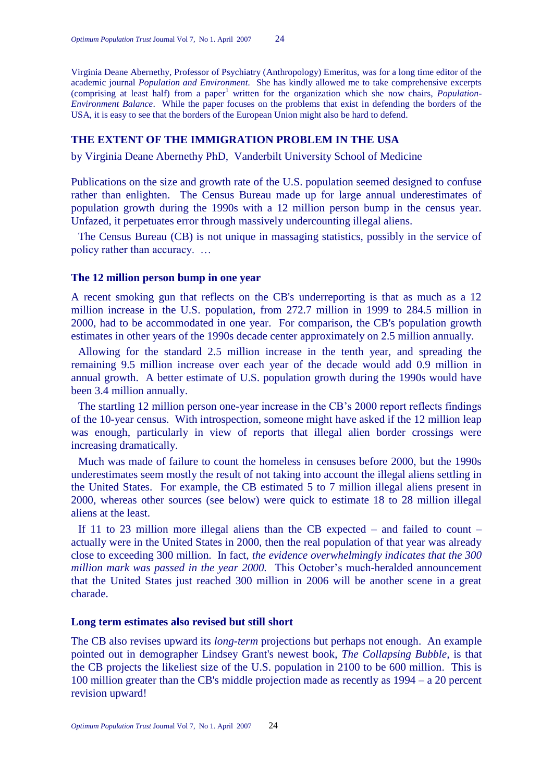Virginia Deane Abernethy, Professor of Psychiatry (Anthropology) Emeritus, was for a long time editor of the academic journal *Population and Environment.* She has kindly allowed me to take comprehensive excerpts (comprising at least half) from a paper<sup>1</sup> written for the organization which she now chairs, *Population*-*Environment Balance*. While the paper focuses on the problems that exist in defending the borders of the USA, it is easy to see that the borders of the European Union might also be hard to defend.

## **THE EXTENT OF THE IMMIGRATION PROBLEM IN THE USA**

by Virginia Deane Abernethy PhD, Vanderbilt University School of Medicine

Publications on the size and growth rate of the U.S. population seemed designed to confuse rather than enlighten. The Census Bureau made up for large annual underestimates of population growth during the 1990s with a 12 million person bump in the census year. Unfazed, it perpetuates error through massively undercounting illegal aliens.

The Census Bureau (CB) is not unique in massaging statistics, possibly in the service of policy rather than accuracy. …

## **The 12 million person bump in one year**

A recent smoking gun that reflects on the CB's underreporting is that as much as a 12 million increase in the U.S. population, from 272.7 million in 1999 to 284.5 million in 2000, had to be accommodated in one year. For comparison, the CB's population growth estimates in other years of the 1990s decade center approximately on 2.5 million annually.

Allowing for the standard 2.5 million increase in the tenth year, and spreading the remaining 9.5 million increase over each year of the decade would add 0.9 million in annual growth. A better estimate of U.S. population growth during the 1990s would have been 3.4 million annually.

The startling 12 million person one-year increase in the CB's 2000 report reflects findings of the 10-year census. With introspection, someone might have asked if the 12 million leap was enough, particularly in view of reports that illegal alien border crossings were increasing dramatically.

Much was made of failure to count the homeless in censuses before 2000, but the 1990s underestimates seem mostly the result of not taking into account the illegal aliens settling in the United States. For example, the CB estimated 5 to 7 million illegal aliens present in 2000, whereas other sources (see below) were quick to estimate 18 to 28 million illegal aliens at the least.

If 11 to 23 million more illegal aliens than the CB expected – and failed to count – actually were in the United States in 2000, then the real population of that year was already close to exceeding 300 million. In fact, *the evidence overwhelmingly indicates that the 300 million mark was passed in the year 2000.* This October's much-heralded announcement that the United States just reached 300 million in 2006 will be another scene in a great charade.

#### **Long term estimates also revised but still short**

The CB also revises upward its *long-term* projections but perhaps not enough. An example pointed out in demographer Lindsey Grant's newest book, *The Collapsing Bubble,* is that the CB projects the likeliest size of the U.S. population in 2100 to be 600 million. This is 100 million greater than the CB's middle projection made as recently as 1994 – a 20 percent revision upward!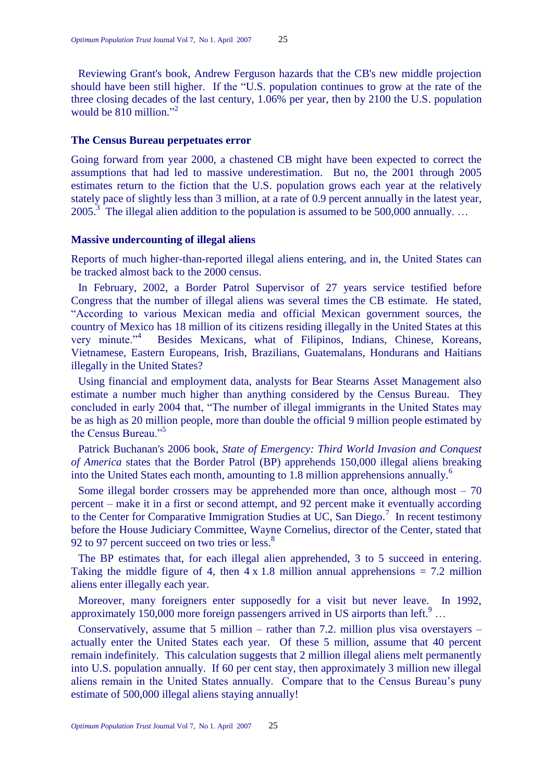Reviewing Grant's book, Andrew Ferguson hazards that the CB's new middle projection should have been still higher. If the "U.S. population continues to grow at the rate of the three closing decades of the last century, 1.06% per year, then by 2100 the U.S. population would be  $810$  million."<sup>2</sup>

#### **The Census Bureau perpetuates error**

Going forward from year 2000, a chastened CB might have been expected to correct the assumptions that had led to massive underestimation. But no, the 2001 through 2005 estimates return to the fiction that the U.S. population grows each year at the relatively stately pace of slightly less than 3 million, at a rate of 0.9 percent annually in the latest year, 2005.<sup>3</sup> The illegal alien addition to the population is assumed to be 500,000 annually...

#### **Massive undercounting of illegal aliens**

Reports of much higher-than-reported illegal aliens entering, and in, the United States can be tracked almost back to the 2000 census.

In February, 2002, a Border Patrol Supervisor of 27 years service testified before Congress that the number of illegal aliens was several times the CB estimate. He stated, ―According to various Mexican media and official Mexican government sources, the country of Mexico has 18 million of its citizens residing illegally in the United States at this very minute. $14$  Besides Mexicans, what of Filipinos, Indians, Chinese, Koreans, Vietnamese, Eastern Europeans, Irish, Brazilians, Guatemalans, Hondurans and Haitians illegally in the United States?

Using financial and employment data, analysts for Bear Stearns Asset Management also estimate a number much higher than anything considered by the Census Bureau. They concluded in early 2004 that, "The number of illegal immigrants in the United States may be as high as 20 million people, more than double the official 9 million people estimated by the Census Bureau<sup>"5</sup>

Patrick Buchanan's 2006 book, *State of Emergency: Third World Invasion and Conquest of America* states that the Border Patrol (BP) apprehends 150,000 illegal aliens breaking into the United States each month, amounting to 1.8 million apprehensions annually.<sup>6</sup>

Some illegal border crossers may be apprehended more than once, although most  $-70$ percent – make it in a first or second attempt, and 92 percent make it eventually according to the Center for Comparative Immigration Studies at UC, San Diego.<sup>7</sup> In recent testimony before the House Judiciary Committee, Wayne Cornelius, director of the Center, stated that 92 to 97 percent succeed on two tries or less.<sup>8</sup>

The BP estimates that, for each illegal alien apprehended, 3 to 5 succeed in entering. Taking the middle figure of 4, then  $4 \times 1.8$  million annual apprehensions = 7.2 million aliens enter illegally each year.

Moreover, many foreigners enter supposedly for a visit but never leave. In 1992, approximately 150,000 more foreign passengers arrived in US airports than left.<sup>9</sup> ...

Conservatively, assume that 5 million – rather than 7.2. million plus visa overstayers – actually enter the United States each year. Of these 5 million, assume that 40 percent remain indefinitely. This calculation suggests that 2 million illegal aliens melt permanently into U.S. population annually. If 60 per cent stay, then approximately 3 million new illegal aliens remain in the United States annually. Compare that to the Census Bureau's puny estimate of 500,000 illegal aliens staying annually!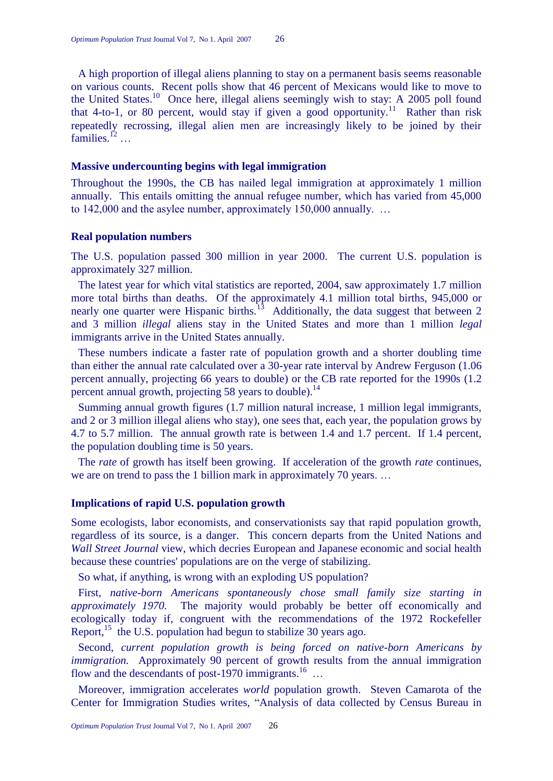A high proportion of illegal aliens planning to stay on a permanent basis seems reasonable on various counts. Recent polls show that 46 percent of Mexicans would like to move to the United States.<sup>10</sup> Once here, illegal aliens seemingly wish to stay: A 2005 poll found that 4-to-1, or 80 percent, would stay if given a good opportunity.<sup>11</sup> Rather than risk repeatedly recrossing, illegal alien men are increasingly likely to be joined by their families.<sup>12</sup> ...

#### **Massive undercounting begins with legal immigration**

Throughout the 1990s, the CB has nailed legal immigration at approximately 1 million annually. This entails omitting the annual refugee number, which has varied from 45,000 to 142,000 and the asylee number, approximately 150,000 annually. …

#### **Real population numbers**

The U.S. population passed 300 million in year 2000. The current U.S. population is approximately 327 million.

The latest year for which vital statistics are reported, 2004, saw approximately 1.7 million more total births than deaths. Of the approximately 4.1 million total births, 945,000 or nearly one quarter were Hispanic births.<sup>13</sup> Additionally, the data suggest that between 2 and 3 million *illegal* aliens stay in the United States and more than 1 million *legal*  immigrants arrive in the United States annually.

These numbers indicate a faster rate of population growth and a shorter doubling time than either the annual rate calculated over a 30-year rate interval by Andrew Ferguson (1.06 percent annually, projecting 66 years to double) or the CB rate reported for the 1990s (1.2 percent annual growth, projecting 58 years to double).<sup>14</sup>

Summing annual growth figures (1.7 million natural increase, 1 million legal immigrants, and 2 or 3 million illegal aliens who stay), one sees that, each year, the population grows by 4.7 to 5.7 million. The annual growth rate is between 1.4 and 1.7 percent. If 1.4 percent, the population doubling time is 50 years.

The *rate* of growth has itself been growing. If acceleration of the growth *rate* continues, we are on trend to pass the 1 billion mark in approximately 70 years. …

## **Implications of rapid U.S. population growth**

Some ecologists, labor economists, and conservationists say that rapid population growth, regardless of its source, is a danger. This concern departs from the United Nations and *Wall Street Journal* view, which decries European and Japanese economic and social health because these countries' populations are on the verge of stabilizing.

So what, if anything, is wrong with an exploding US population?

First, *native-born Americans spontaneously chose small family size starting in approximately 1970.* The majority would probably be better off economically and ecologically today if, congruent with the recommendations of the 1972 Rockefeller Report,<sup>15</sup> the U.S. population had begun to stabilize 30 years ago.

Second, *current population growth is being forced on native-born Americans by immigration.* Approximately 90 percent of growth results from the annual immigration flow and the descendants of post-1970 immigrants.<sup>16</sup> ...

Moreover, immigration accelerates *world* population growth. Steven Camarota of the Center for Immigration Studies writes, "Analysis of data collected by Census Bureau in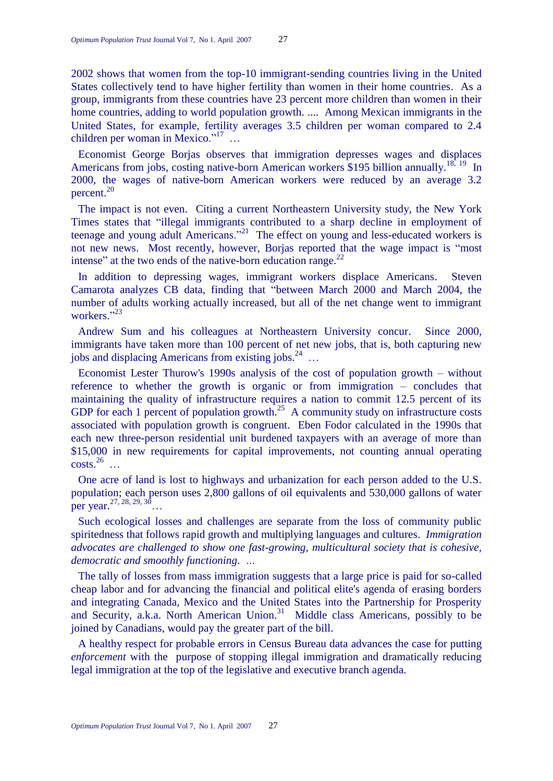2002 shows that women from the top-10 immigrant-sending countries living in the United States collectively tend to have higher fertility than women in their home countries. As a group, immigrants from these countries have 23 percent more children than women in their home countries, adding to world population growth. .... Among Mexican immigrants in the United States, for example, fertility averages 3.5 children per woman compared to 2.4 children per woman in Mexico." $17$  ...

Economist George Borjas observes that immigration depresses wages and displaces Americans from jobs, costing native-born American workers \$195 billion annually.<sup>18, 19</sup> In 2000, the wages of native-born American workers were reduced by an average 3.2 percent. 20

The impact is not even. Citing a current Northeastern University study, the New York Times states that "illegal immigrants contributed to a sharp decline in employment of teenage and young adult Americans."<sup>21</sup> The effect on young and less-educated workers is not new news. Most recently, however, Borjas reported that the wage impact is "most intense" at the two ends of the native-born education range. $^{22}$ 

In addition to depressing wages, immigrant workers displace Americans. Steven Camarota analyzes CB data, finding that "between March 2000 and March 2004, the number of adults working actually increased, but all of the net change went to immigrant workers."<sup>23</sup>

Andrew Sum and his colleagues at Northeastern University concur. Since 2000, immigrants have taken more than 100 percent of net new jobs, that is, both capturing new jobs and displacing Americans from existing jobs. $^{24}$  ...

Economist Lester Thurow's 1990s analysis of the cost of population growth – without reference to whether the growth is organic or from immigration – concludes that maintaining the quality of infrastructure requires a nation to commit 12.5 percent of its GDP for each 1 percent of population growth.<sup>25</sup> A community study on infrastructure costs associated with population growth is congruent. Eben Fodor calculated in the 1990s that each new three-person residential unit burdened taxpayers with an average of more than \$15,000 in new requirements for capital improvements, not counting annual operating  $\text{costs.}^{26}$  ...

One acre of land is lost to highways and urbanization for each person added to the U.S. population; each person uses 2,800 gallons of oil equivalents and 530,000 gallons of water per year.<sup>27, 28, 29, 30</sup>…

Such ecological losses and challenges are separate from the loss of community public spiritedness that follows rapid growth and multiplying languages and cultures. *Immigration advocates are challenged to show one fast-growing, multicultural society that is cohesive, democratic and smoothly functioning*. *…*

The tally of losses from mass immigration suggests that a large price is paid for so-called cheap labor and for advancing the financial and political elite's agenda of erasing borders and integrating Canada, Mexico and the United States into the Partnership for Prosperity and Security, a.k.a. North American Union.<sup>31</sup> Middle class Americans, possibly to be joined by Canadians, would pay the greater part of the bill.

A healthy respect for probable errors in Census Bureau data advances the case for putting *enforcement* with the purpose of stopping illegal immigration and dramatically reducing legal immigration at the top of the legislative and executive branch agenda.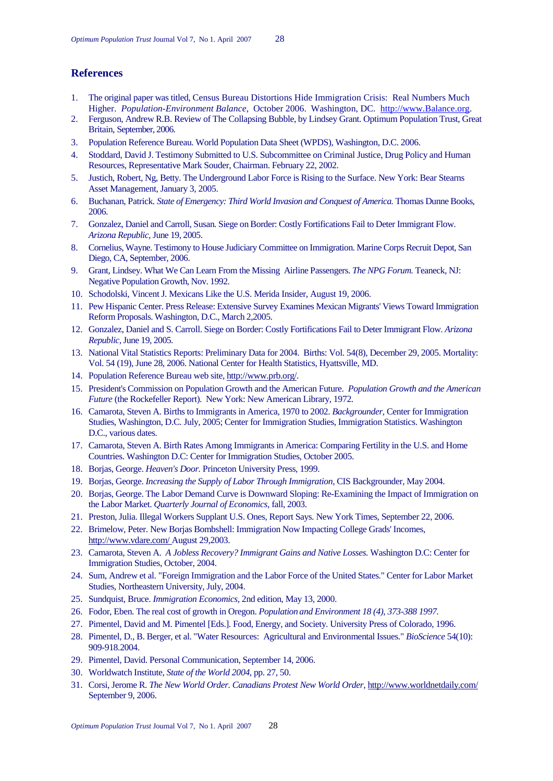# **References**

- 1. The original paper was titled, Census Bureau Distortions Hide Immigration Crisis: Real Numbers Much Higher. *Population-Environment Balance*, October 2006. Washington, DC. [http://www.Balance.org.](http://www.balance.org/)
- 2. Ferguson, Andrew R.B. Review of The Collapsing Bubble, by Lindsey Grant. Optimum Population Trust, Great Britain, September, 2006.
- 3. Population Reference Bureau. World Population Data Sheet (WPDS), Washington, D.C. 2006.
- 4. Stoddard, David J. Testimony Submitted to U.S. Subcommittee on Criminal Justice, Drug Policy and Human Resources, Representative Mark Souder, Chairman. February 22, 2002.
- 5. Justich, Robert, Ng, Betty. The Underground Labor Force is Rising to the Surface. New York: Bear Stearns Asset Management, January 3, 2005.
- 6. Buchanan, Patrick. *State of Emergency: Third World Invasion and Conquest of America.* Thomas Dunne Books, 2006.
- 7. Gonzalez, Daniel and Carroll, Susan. Siege on Border: Costly Fortifications Fail to Deter Immigrant Flow. *Arizona Republic,* June 19, 2005.
- 8. Cornelius, Wayne. Testimony to House Judiciary Committee on Immigration. Marine Corps Recruit Depot, San Diego, CA, September, 2006.
- 9. Grant, Lindsey. What We Can Learn From the Missing Airline Passengers. *The NPG Forum.* Teaneck, NJ: Negative Population Growth, Nov. 1992.
- 10. Schodolski, Vincent J. Mexicans Like the U.S. Merida Insider, August 19, 2006.
- 11. Pew Hispanic Center. Press Release: Extensive Survey Examines Mexican Migrants' Views Toward Immigration Reform Proposals. Washington, D.C., March 2,2005.
- 12. Gonzalez, Daniel and S. Carroll. Siege on Border: Costly Fortifications Fail to Deter Immigrant Flow. *Arizona Republic,* June 19, 2005.
- 13. National Vital Statistics Reports: Preliminary Data for 2004. Births: Vol. 54(8), December 29, 2005. Mortality: Vol. 54 (19), June 28, 2006. National Center for Health Statistics, Hyattsville, MD.
- 14. Population Reference Bureau web site, http://www.prb.org/.
- 15. President's Commission on Population Growth and the American Future. *Population Growth and the American Future* (the Rockefeller Report). New York: New American Library, 1972.
- 16. Camarota, Steven A. Births to Immigrants in America, 1970 to 2002. *Backgrounder,* Center for Immigration Studies, Washington, D.C. July, 2005; Center for Immigration Studies, Immigration Statistics. Washington D.C., various dates.
- 17. Camarota, Steven A. Birth Rates Among Immigrants in America: Comparing Fertility in the U.S. and Home Countries. Washington D.C: Center for Immigration Studies, October 2005.
- 18. Borjas, George. *Heaven's Door.* Princeton University Press, 1999.
- 19. Borjas, George. *Increasing the Supply of Labor Through Immigration,* CIS Backgrounder, May 2004.
- 20. Borjas, George. The Labor Demand Curve is Downward Sloping: Re-Examining the Impact of Immigration on the Labor Market. *Quarterly Journal of Economics,* fall, 2003.
- 21. Preston, Julia. Illegal Workers Supplant U.S. Ones, Report Says. New York Times, September 22, 2006.
- 22. Brimelow, Peter. New Borjas Bombshell: Immigration Now Impacting College Grads' Incomes, http://www.vdare.com/ August 29,2003.
- 23. Camarota, Steven A. *A Jobless Recovery? Immigrant Gains and Native Losses.* Washington D.C: Center for Immigration Studies, October, 2004.
- 24. Sum, Andrew et al. "Foreign Immigration and the Labor Force of the United States." Center for Labor Market Studies, Northeastern University, July, 2004.
- 25. Sundquist, Bruce. *Immigration Economics,* 2nd edition, May 13, 2000.
- 26. Fodor, Eben. The real cost of growth in Oregon. *Population and Environment 18 (4), 373-388 1997.*
- 27. Pimentel, David and M. Pimentel [Eds.]. Food, Energy, and Society. University Press of Colorado, 1996.
- 28. Pimentel, D., B. Berger, et al. "Water Resources: Agricultural and Environmental Issues." *BioScience* 54(10): 909-918.2004.
- 29. Pimentel, David. Personal Communication, September 14, 2006.
- 30. Worldwatch Institute, *State of the World 2004,* pp. 27, 50.
- 31. Corsi, Jerome R. *The New World Order. Canadians Protest New World Order,* http://www.worldnetdaily.com/ September 9, 2006.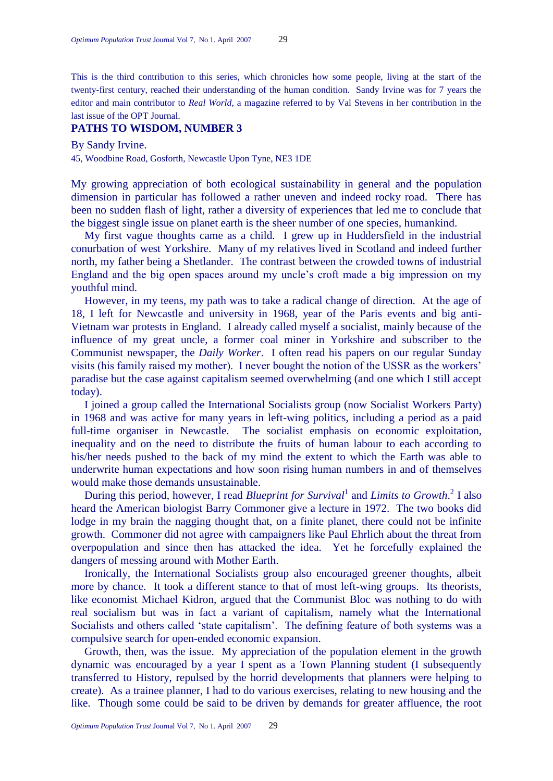This is the third contribution to this series, which chronicles how some people, living at the start of the twenty-first century, reached their understanding of the human condition. Sandy Irvine was for 7 years the editor and main contributor to *Real World*, a magazine referred to by Val Stevens in her contribution in the last issue of the OPT Journal.

# **PATHS TO WISDOM, NUMBER 3**

By Sandy Irvine.

45, Woodbine Road, Gosforth, Newcastle Upon Tyne, NE3 1DE

My growing appreciation of both ecological sustainability in general and the population dimension in particular has followed a rather uneven and indeed rocky road. There has been no sudden flash of light, rather a diversity of experiences that led me to conclude that the biggest single issue on planet earth is the sheer number of one species, humankind.

My first vague thoughts came as a child. I grew up in Huddersfield in the industrial conurbation of west Yorkshire. Many of my relatives lived in Scotland and indeed further north, my father being a Shetlander. The contrast between the crowded towns of industrial England and the big open spaces around my uncle's croft made a big impression on my youthful mind.

However, in my teens, my path was to take a radical change of direction. At the age of 18, I left for Newcastle and university in 1968, year of the Paris events and big anti-Vietnam war protests in England. I already called myself a socialist, mainly because of the influence of my great uncle, a former coal miner in Yorkshire and subscriber to the Communist newspaper, the *Daily Worker*. I often read his papers on our regular Sunday visits (his family raised my mother). I never bought the notion of the USSR as the workers' paradise but the case against capitalism seemed overwhelming (and one which I still accept today).

I joined a group called the International Socialists group (now Socialist Workers Party) in 1968 and was active for many years in left-wing politics, including a period as a paid full-time organiser in Newcastle. The socialist emphasis on economic exploitation, inequality and on the need to distribute the fruits of human labour to each according to his/her needs pushed to the back of my mind the extent to which the Earth was able to underwrite human expectations and how soon rising human numbers in and of themselves would make those demands unsustainable.

During this period, however, I read *Blueprint for Survival*<sup>1</sup> and *Limits to Growth*.<sup>2</sup> I also heard the American biologist Barry Commoner give a lecture in 1972. The two books did lodge in my brain the nagging thought that, on a finite planet, there could not be infinite growth. Commoner did not agree with campaigners like Paul Ehrlich about the threat from overpopulation and since then has attacked the idea. Yet he forcefully explained the dangers of messing around with Mother Earth.

Ironically, the International Socialists group also encouraged greener thoughts, albeit more by chance. It took a different stance to that of most left-wing groups. Its theorists, like economist Michael Kidron, argued that the Communist Bloc was nothing to do with real socialism but was in fact a variant of capitalism, namely what the International Socialists and others called 'state capitalism'. The defining feature of both systems was a compulsive search for open-ended economic expansion.

Growth, then, was the issue. My appreciation of the population element in the growth dynamic was encouraged by a year I spent as a Town Planning student (I subsequently transferred to History, repulsed by the horrid developments that planners were helping to create). As a trainee planner, I had to do various exercises, relating to new housing and the like. Though some could be said to be driven by demands for greater affluence, the root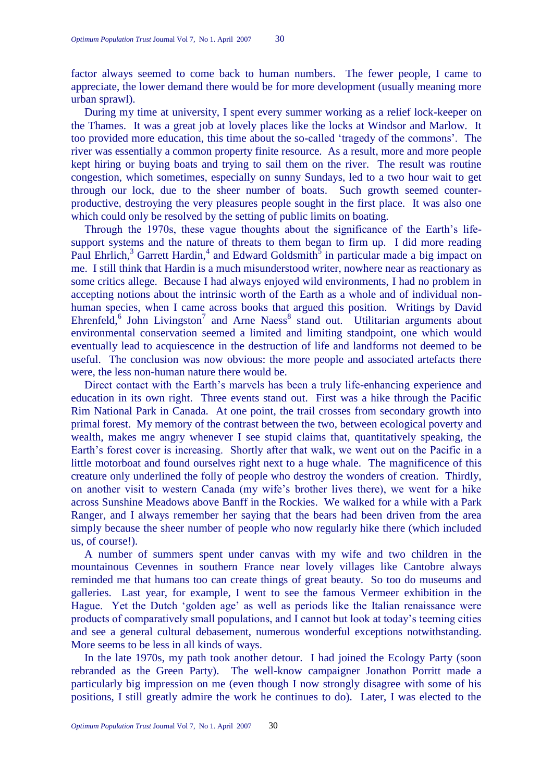factor always seemed to come back to human numbers. The fewer people, I came to appreciate, the lower demand there would be for more development (usually meaning more urban sprawl).

During my time at university, I spent every summer working as a relief lock-keeper on the Thames. It was a great job at lovely places like the locks at Windsor and Marlow. It too provided more education, this time about the so-called ‗tragedy of the commons'. The river was essentially a common property finite resource. As a result, more and more people kept hiring or buying boats and trying to sail them on the river. The result was routine congestion, which sometimes, especially on sunny Sundays, led to a two hour wait to get through our lock, due to the sheer number of boats. Such growth seemed counterproductive, destroying the very pleasures people sought in the first place. It was also one which could only be resolved by the setting of public limits on boating.

Through the 1970s, these vague thoughts about the significance of the Earth's lifesupport systems and the nature of threats to them began to firm up. I did more reading Paul Ehrlich,<sup>3</sup> Garrett Hardin,<sup>4</sup> and Edward Goldsmith<sup>5</sup> in particular made a big impact on me. I still think that Hardin is a much misunderstood writer, nowhere near as reactionary as some critics allege. Because I had always enjoyed wild environments, I had no problem in accepting notions about the intrinsic worth of the Earth as a whole and of individual nonhuman species, when I came across books that argued this position. Writings by David Ehrenfeld, $6$  John Livingston<sup>7</sup> and Arne Naess $8$  stand out. Utilitarian arguments about environmental conservation seemed a limited and limiting standpoint, one which would eventually lead to acquiescence in the destruction of life and landforms not deemed to be useful. The conclusion was now obvious: the more people and associated artefacts there were, the less non-human nature there would be.

Direct contact with the Earth's marvels has been a truly life-enhancing experience and education in its own right. Three events stand out. First was a hike through the Pacific Rim National Park in Canada. At one point, the trail crosses from secondary growth into primal forest. My memory of the contrast between the two, between ecological poverty and wealth, makes me angry whenever I see stupid claims that, quantitatively speaking, the Earth's forest cover is increasing. Shortly after that walk, we went out on the Pacific in a little motorboat and found ourselves right next to a huge whale. The magnificence of this creature only underlined the folly of people who destroy the wonders of creation. Thirdly, on another visit to western Canada (my wife's brother lives there), we went for a hike across Sunshine Meadows above Banff in the Rockies. We walked for a while with a Park Ranger, and I always remember her saying that the bears had been driven from the area simply because the sheer number of people who now regularly hike there (which included us, of course!).

A number of summers spent under canvas with my wife and two children in the mountainous Cevennes in southern France near lovely villages like Cantobre always reminded me that humans too can create things of great beauty. So too do museums and galleries. Last year, for example, I went to see the famous Vermeer exhibition in the Hague. Yet the Dutch 'golden age' as well as periods like the Italian renaissance were products of comparatively small populations, and I cannot but look at today's teeming cities and see a general cultural debasement, numerous wonderful exceptions notwithstanding. More seems to be less in all kinds of ways.

In the late 1970s, my path took another detour. I had joined the Ecology Party (soon rebranded as the Green Party). The well-know campaigner Jonathon Porritt made a particularly big impression on me (even though I now strongly disagree with some of his positions, I still greatly admire the work he continues to do). Later, I was elected to the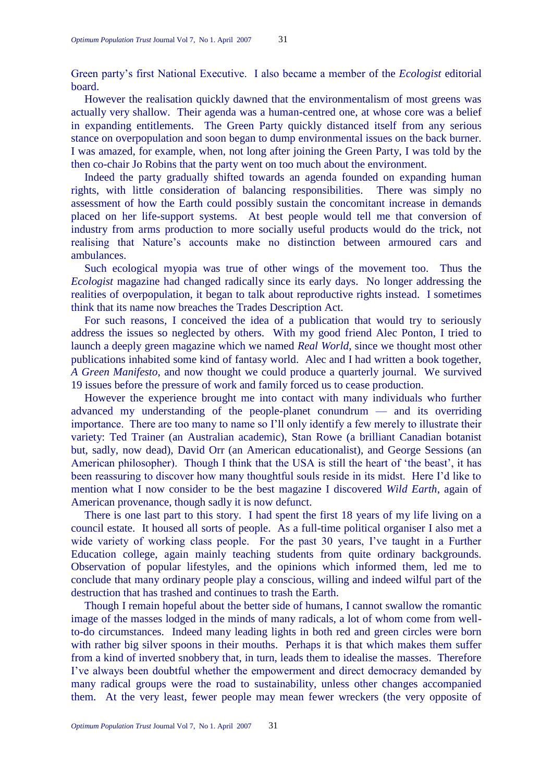Green party's first National Executive. I also became a member of the *Ecologist* editorial board.

However the realisation quickly dawned that the environmentalism of most greens was actually very shallow. Their agenda was a human-centred one, at whose core was a belief in expanding entitlements. The Green Party quickly distanced itself from any serious stance on overpopulation and soon began to dump environmental issues on the back burner. I was amazed, for example, when, not long after joining the Green Party, I was told by the then co-chair Jo Robins that the party went on too much about the environment.

Indeed the party gradually shifted towards an agenda founded on expanding human rights, with little consideration of balancing responsibilities. There was simply no assessment of how the Earth could possibly sustain the concomitant increase in demands placed on her life-support systems. At best people would tell me that conversion of industry from arms production to more socially useful products would do the trick, not realising that Nature's accounts make no distinction between armoured cars and ambulances.

Such ecological myopia was true of other wings of the movement too. Thus the *Ecologist* magazine had changed radically since its early days. No longer addressing the realities of overpopulation, it began to talk about reproductive rights instead. I sometimes think that its name now breaches the Trades Description Act.

For such reasons, I conceived the idea of a publication that would try to seriously address the issues so neglected by others. With my good friend Alec Ponton, I tried to launch a deeply green magazine which we named *Real World*, since we thought most other publications inhabited some kind of fantasy world. Alec and I had written a book together, *A Green Manifesto*, and now thought we could produce a quarterly journal. We survived 19 issues before the pressure of work and family forced us to cease production.

However the experience brought me into contact with many individuals who further advanced my understanding of the people-planet conundrum — and its overriding importance. There are too many to name so I'll only identify a few merely to illustrate their variety: Ted Trainer (an Australian academic), Stan Rowe (a brilliant Canadian botanist but, sadly, now dead), David Orr (an American educationalist), and George Sessions (an American philosopher). Though I think that the USA is still the heart of 'the beast', it has been reassuring to discover how many thoughtful souls reside in its midst. Here I'd like to mention what I now consider to be the best magazine I discovered *Wild Earth*, again of American provenance, though sadly it is now defunct.

There is one last part to this story. I had spent the first 18 years of my life living on a council estate. It housed all sorts of people. As a full-time political organiser I also met a wide variety of working class people. For the past 30 years, I've taught in a Further Education college, again mainly teaching students from quite ordinary backgrounds. Observation of popular lifestyles, and the opinions which informed them, led me to conclude that many ordinary people play a conscious, willing and indeed wilful part of the destruction that has trashed and continues to trash the Earth.

Though I remain hopeful about the better side of humans, I cannot swallow the romantic image of the masses lodged in the minds of many radicals, a lot of whom come from wellto-do circumstances. Indeed many leading lights in both red and green circles were born with rather big silver spoons in their mouths. Perhaps it is that which makes them suffer from a kind of inverted snobbery that, in turn, leads them to idealise the masses. Therefore I've always been doubtful whether the empowerment and direct democracy demanded by many radical groups were the road to sustainability, unless other changes accompanied them. At the very least, fewer people may mean fewer wreckers (the very opposite of